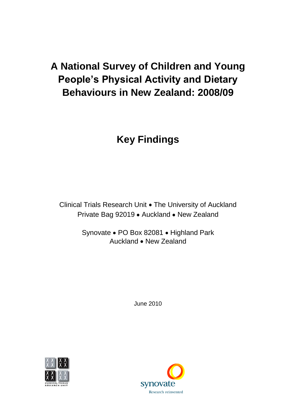# **A National Survey of Children and Young People's Physical Activity and Dietary Behaviours in New Zealand: 2008/09**

# **Key Findings**

Clinical Trials Research Unit . The University of Auckland Private Bag 92019 . Auckland . New Zealand

> Synovate • PO Box 82081 • Highland Park Auckland • New Zealand

> > June 2010



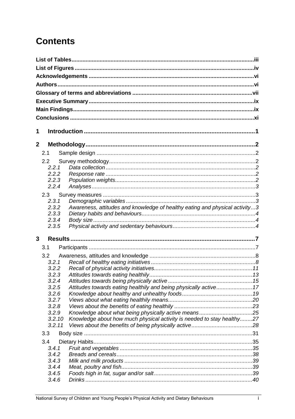# **Contents**

| 1              |                 |                                                                             |  |
|----------------|-----------------|-----------------------------------------------------------------------------|--|
|                |                 |                                                                             |  |
| $\overline{2}$ |                 |                                                                             |  |
|                | 2.1             |                                                                             |  |
|                | 2.2             |                                                                             |  |
|                | 2.2.1           |                                                                             |  |
|                | 2.2.2           |                                                                             |  |
|                | 2.2.3<br>2.2.4  |                                                                             |  |
|                |                 |                                                                             |  |
|                | 2.3             |                                                                             |  |
|                | 2.3.1           |                                                                             |  |
|                | 2.3.2<br>2.3.3  | Awareness, attitudes and knowledge of healthy eating and physical activity3 |  |
|                | 2.3.4           |                                                                             |  |
|                | 2.3.5           |                                                                             |  |
|                |                 |                                                                             |  |
| 3              |                 |                                                                             |  |
|                | 3.1             |                                                                             |  |
|                | 3.2             |                                                                             |  |
|                | 3.2.1           |                                                                             |  |
|                | 3.2.2           |                                                                             |  |
|                | 3.2.3           |                                                                             |  |
|                | 3.2.4           |                                                                             |  |
|                | 3.2.5           | Attitudes towards eating healthily and being physically active17            |  |
|                | 3.2.6           |                                                                             |  |
|                | 3.2.7           |                                                                             |  |
|                | 3.2.8           |                                                                             |  |
|                | 3.2.9<br>3.2.10 |                                                                             |  |
|                | 3.2.11          | Knowledge about how much physical activity is needed to stay healthy27      |  |
|                |                 |                                                                             |  |
|                | 3.3             |                                                                             |  |
|                | 3.4             |                                                                             |  |
|                | 3.4.1           |                                                                             |  |
|                | 3.4.2<br>3.4.3  |                                                                             |  |
|                | 3.4.4           |                                                                             |  |
|                | 3.4.5           |                                                                             |  |
|                | 3.4.6           |                                                                             |  |
|                |                 |                                                                             |  |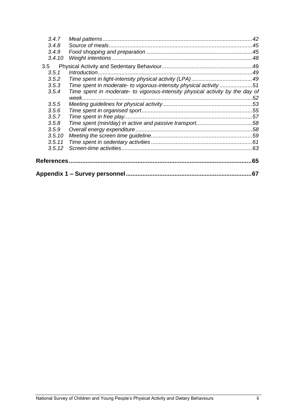| 3.4.7  |                                                                               |    |
|--------|-------------------------------------------------------------------------------|----|
| 3.4.8  |                                                                               |    |
| 3.4.9  |                                                                               |    |
| 3.4.10 |                                                                               |    |
| 3.5    |                                                                               |    |
| 3.5.1  |                                                                               |    |
| 3.5.2  |                                                                               |    |
| 3.5.3  | Time spent in moderate- to vigorous-intensity physical activity 51            |    |
| 3.5.4  | Time spent in moderate- to vigorous-intensity physical activity by the day of |    |
| 3.5.5  |                                                                               |    |
| 3.5.6  |                                                                               |    |
| 3.5.7  |                                                                               |    |
| 3.5.8  |                                                                               |    |
| 3.5.9  |                                                                               |    |
| 3.5.10 |                                                                               |    |
| 3.5.11 |                                                                               |    |
| 3.5.12 |                                                                               |    |
|        |                                                                               | 65 |
|        |                                                                               | 67 |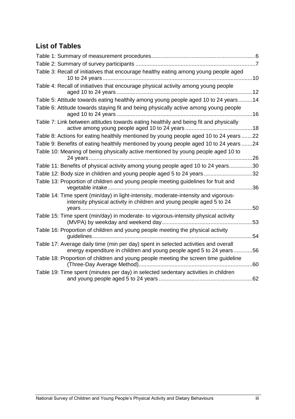# <span id="page-3-0"></span>**List of Tables**

| Table 3: Recall of initiatives that encourage healthy eating among young people aged                                                                         |     |
|--------------------------------------------------------------------------------------------------------------------------------------------------------------|-----|
| Table 4: Recall of initiatives that encourage physical activity among young people                                                                           |     |
| Table 5: Attitude towards eating healthily among young people aged 10 to 24 years14                                                                          |     |
| Table 6: Attitude towards staying fit and being physically active among young people                                                                         |     |
| Table 7: Link between attitudes towards eating healthily and being fit and physically                                                                        |     |
| Table 8: Actions for eating healthily mentioned by young people aged 10 to 24 years 22                                                                       |     |
| Table 9: Benefits of eating healthily mentioned by young people aged 10 to 24 years 24                                                                       |     |
| Table 10: Meaning of being physically active mentioned by young people aged 10 to                                                                            | .26 |
| Table 11: Benefits of physical activity among young people aged 10 to 24 years30                                                                             |     |
| Table 12: Body size in children and young people aged 5 to 24 years 32                                                                                       |     |
| Table 13: Proportion of children and young people meeting guidelines for fruit and                                                                           | 36  |
| Table 14: Time spent (min/day) in light-intensity, moderate-intensity and vigorous-<br>intensity physical activity in children and young people aged 5 to 24 | 50  |
| Table 15: Time spent (min/day) in moderate- to vigorous-intensity physical activity                                                                          |     |
|                                                                                                                                                              | 53  |
| Table 16: Proportion of children and young people meeting the physical activity                                                                              | 54  |
| Table 17: Average daily time (min per day) spent in selected activities and overall<br>energy expenditure in children and young people aged 5 to 24 years    | 56  |
| Table 18: Proportion of children and young people meeting the screen time guideline                                                                          | .60 |
| Table 19: Time spent (minutes per day) in selected sedentary activities in children                                                                          | 62  |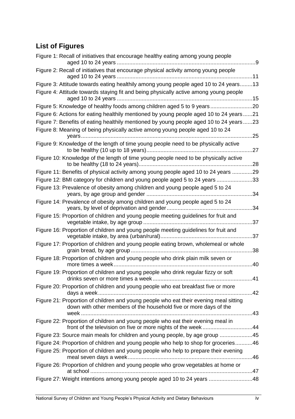# <span id="page-4-0"></span>**List of Figures**

| Figure 1: Recall of initiatives that encourage healthy eating among young people<br>. . 9                                                                  |
|------------------------------------------------------------------------------------------------------------------------------------------------------------|
| Figure 2: Recall of initiatives that encourage physical activity among young people                                                                        |
| Figure 3: Attitude towards eating healthily among young people aged 10 to 24 years13                                                                       |
| Figure 4: Attitude towards staying fit and being physically active among young people                                                                      |
| Figure 5: Knowledge of healthy foods among children aged 5 to 9 years20                                                                                    |
| Figure 6: Actions for eating healthily mentioned by young people aged 10 to 24 years21                                                                     |
| Figure 7: Benefits of eating healthily mentioned by young people aged 10 to 24 years23                                                                     |
| Figure 8: Meaning of being physically active among young people aged 10 to 24<br>25                                                                        |
| Figure 9: Knowledge of the length of time young people need to be physically active<br>27                                                                  |
| Figure 10: Knowledge of the length of time young people need to be physically active<br>.28                                                                |
| Figure 11: Benefits of physical activity among young people aged 10 to 24 years 29                                                                         |
| Figure 12: BMI category for children and young people aged 5 to 24 years<br>33                                                                             |
| Figure 13: Prevalence of obesity among children and young people aged 5 to 24<br>34                                                                        |
| Figure 14: Prevalence of obesity among children and young people aged 5 to 24<br>34                                                                        |
| Figure 15: Proportion of children and young people meeting guidelines for fruit and<br>37                                                                  |
| Figure 16: Proportion of children and young people meeting guidelines for fruit and<br>37                                                                  |
| Figure 17: Proportion of children and young people eating brown, wholemeal or whole<br>38                                                                  |
| Figure 18: Proportion of children and young people who drink plain milk seven or<br>more times a week<br>40                                                |
| Figure 19: Proportion of children and young people who drink regular fizzy or soft                                                                         |
| Figure 20: Proportion of children and young people who eat breakfast five or more                                                                          |
| Figure 21: Proportion of children and young people who eat their evening meal sitting<br>down with other members of the household five or more days of the |
| Figure 22: Proportion of children and young people who eat their evening meal in                                                                           |
| Figure 23: Source main meals for children and young people, by age group 45                                                                                |
| Figure 24: Proportion of children and young people who help to shop for groceries46                                                                        |
| Figure 25: Proportion of children and young people who help to prepare their evening                                                                       |
| Figure 26: Proportion of children and young people who grow vegetables at home or                                                                          |
| Figure 27: Weight intentions among young people aged 10 to 24 years 48                                                                                     |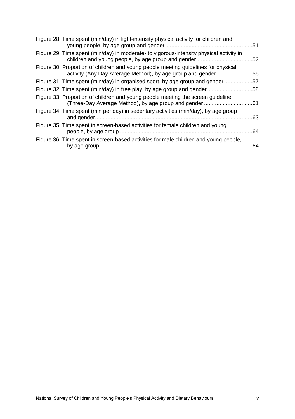| Figure 28: Time spent (min/day) in light-intensity physical activity for children and                                                            | .51 |
|--------------------------------------------------------------------------------------------------------------------------------------------------|-----|
| Figure 29: Time spent (min/day) in moderate- to vigorous-intensity physical activity in<br>children and young people, by age group and gender    | .52 |
| Figure 30: Proportion of children and young people meeting guidelines for physical<br>activity (Any Day Average Method), by age group and gender | .55 |
| Figure 31: Time spent (min/day) in organised sport, by age group and gender                                                                      | .57 |
| Figure 32: Time spent (min/day) in free play, by age group and gender58                                                                          |     |
| Figure 33: Proportion of children and young people meeting the screen guideline<br>(Three-Day Average Method), by age group and gender           | .61 |
| Figure 34: Time spent (min per day) in sedentary activities (min/day), by age group                                                              | .63 |
| Figure 35: Time spent in screen-based activities for female children and young                                                                   | .64 |
| Figure 36: Time spent in screen-based activities for male children and young people,                                                             | 64  |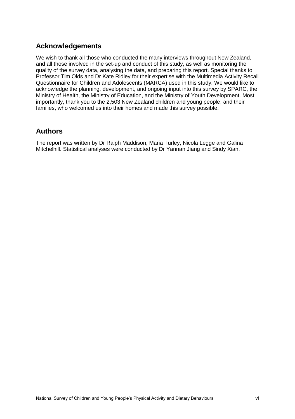### <span id="page-6-0"></span>**Acknowledgements**

We wish to thank all those who conducted the many interviews throughout New Zealand, and all those involved in the set-up and conduct of this study, as well as monitoring the quality of the survey data, analysing the data, and preparing this report. Special thanks to Professor Tim Olds and Dr Kate Ridley for their expertise with the Multimedia Activity Recall Questionnaire for Children and Adolescents (MARCA) used in this study. We would like to acknowledge the planning, development, and ongoing input into this survey by SPARC, the Ministry of Health, the Ministry of Education, and the Ministry of Youth Development. Most importantly, thank you to the 2,503 New Zealand children and young people, and their families, who welcomed us into their homes and made this survey possible.

### <span id="page-6-1"></span>**Authors**

The report was written by Dr Ralph Maddison, Maria Turley, Nicola Legge and Galina Mitchelhill. Statistical analyses were conducted by Dr Yannan Jiang and Sindy Xian.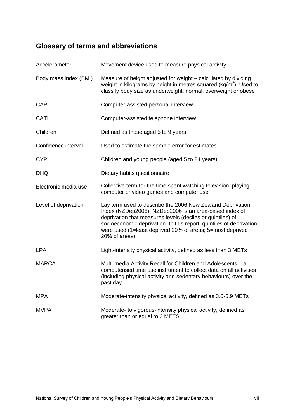# <span id="page-7-0"></span>**Glossary of terms and abbreviations**

| Accelerometer         | Movement device used to measure physical activity                                                                                                                                                                                                                                                                                       |  |  |  |  |
|-----------------------|-----------------------------------------------------------------------------------------------------------------------------------------------------------------------------------------------------------------------------------------------------------------------------------------------------------------------------------------|--|--|--|--|
| Body mass index (BMI) | Measure of height adjusted for weight – calculated by dividing<br>weight in kilograms by height in metres squared ( $kg/m2$ ). Used to<br>classify body size as underweight, normal, overweight or obese                                                                                                                                |  |  |  |  |
| <b>CAPI</b>           | Computer-assisted personal interview                                                                                                                                                                                                                                                                                                    |  |  |  |  |
| CATI                  | Computer-assisted telephone interview                                                                                                                                                                                                                                                                                                   |  |  |  |  |
| Children              | Defined as those aged 5 to 9 years                                                                                                                                                                                                                                                                                                      |  |  |  |  |
| Confidence interval   | Used to estimate the sample error for estimates                                                                                                                                                                                                                                                                                         |  |  |  |  |
| <b>CYP</b>            | Children and young people (aged 5 to 24 years)                                                                                                                                                                                                                                                                                          |  |  |  |  |
| <b>DHQ</b>            | Dietary habits questionnaire                                                                                                                                                                                                                                                                                                            |  |  |  |  |
| Electronic media use  | Collective term for the time spent watching television, playing<br>computer or video games and computer use                                                                                                                                                                                                                             |  |  |  |  |
| Level of deprivation  | Lay term used to describe the 2006 New Zealand Deprivation<br>Index (NZDep2006). NZDep2006 is an area-based index of<br>deprivation that measures levels (deciles or quintiles) of<br>socioeconomic deprivation. In this report, quintiles of deprivation<br>were used (1=least deprived 20% of areas; 5=most deprived<br>20% of areas) |  |  |  |  |
| <b>LPA</b>            | Light-intensity physical activity, defined as less than 3 METs                                                                                                                                                                                                                                                                          |  |  |  |  |
| <b>MARCA</b>          | Multi-media Activity Recall for Children and Adolescents - a<br>computerised time use instrument to collect data on all activities<br>(including physical activity and sedentary behaviours) over the<br>past day                                                                                                                       |  |  |  |  |
| <b>MPA</b>            | Moderate-intensity physical activity, defined as 3.0-5.9 METs                                                                                                                                                                                                                                                                           |  |  |  |  |
| <b>MVPA</b>           | Moderate- to vigorous-intensity physical activity, defined as<br>greater than or equal to 3 METS                                                                                                                                                                                                                                        |  |  |  |  |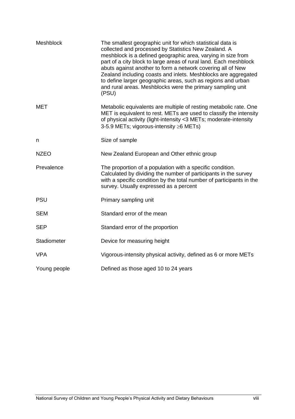| <b>Meshblock</b> | The smallest geographic unit for which statistical data is<br>collected and processed by Statistics New Zealand. A<br>meshblock is a defined geographic area, varying in size from<br>part of a city block to large areas of rural land. Each meshblock<br>abuts against another to form a network covering all of New<br>Zealand including coasts and inlets. Meshblocks are aggregated<br>to define larger geographic areas, such as regions and urban<br>and rural areas. Meshblocks were the primary sampling unit<br>(PSU) |  |  |  |  |  |
|------------------|---------------------------------------------------------------------------------------------------------------------------------------------------------------------------------------------------------------------------------------------------------------------------------------------------------------------------------------------------------------------------------------------------------------------------------------------------------------------------------------------------------------------------------|--|--|--|--|--|
| <b>MET</b>       | Metabolic equivalents are multiple of resting metabolic rate. One<br>MET is equivalent to rest. METs are used to classify the intensity<br>of physical activity (light-intensity <3 METs; moderate-intensity<br>3-5.9 METs; vigorous-intensity ≥6 METs)                                                                                                                                                                                                                                                                         |  |  |  |  |  |
| n                | Size of sample                                                                                                                                                                                                                                                                                                                                                                                                                                                                                                                  |  |  |  |  |  |
| <b>NZEO</b>      | New Zealand European and Other ethnic group                                                                                                                                                                                                                                                                                                                                                                                                                                                                                     |  |  |  |  |  |
| Prevalence       | The proportion of a population with a specific condition.<br>Calculated by dividing the number of participants in the survey<br>with a specific condition by the total number of participants in the<br>survey. Usually expressed as a percent                                                                                                                                                                                                                                                                                  |  |  |  |  |  |
| <b>PSU</b>       | Primary sampling unit                                                                                                                                                                                                                                                                                                                                                                                                                                                                                                           |  |  |  |  |  |
| <b>SEM</b>       | Standard error of the mean                                                                                                                                                                                                                                                                                                                                                                                                                                                                                                      |  |  |  |  |  |
| <b>SEP</b>       | Standard error of the proportion                                                                                                                                                                                                                                                                                                                                                                                                                                                                                                |  |  |  |  |  |
| Stadiometer      | Device for measuring height                                                                                                                                                                                                                                                                                                                                                                                                                                                                                                     |  |  |  |  |  |
| <b>VPA</b>       | Vigorous-intensity physical activity, defined as 6 or more METs                                                                                                                                                                                                                                                                                                                                                                                                                                                                 |  |  |  |  |  |
| Young people     | Defined as those aged 10 to 24 years                                                                                                                                                                                                                                                                                                                                                                                                                                                                                            |  |  |  |  |  |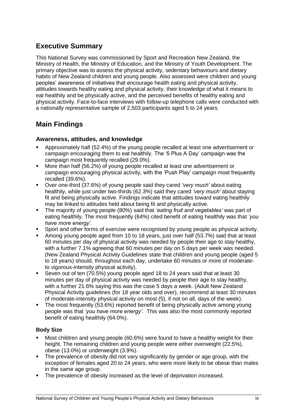# <span id="page-9-0"></span>**Executive Summary**

This National Survey was commissioned by Sport and Recreation New Zealand, the Ministry of Health, the Ministry of Education, and the Ministry of Youth Development. The primary objective was to assess the physical activity, sedentary behaviours and dietary habits of New Zealand children and young people. Also assessed were children and young peoples' awareness of initiatives that encourage health eating and physical activity, attitudes towards healthy eating and physical activity, their knowledge of what it means to eat healthily and be physically active, and the perceived benefits of healthy eating and physical activity. Face-to-face interviews with follow-up telephone calls were conducted with a nationally representative sample of 2,503 participants aged 5 to 24 years.

# <span id="page-9-1"></span>**Main Findings**

#### **Awareness, attitudes, and knowledge**

- Approximately half (52.4%) of the young people recalled at least one advertisement or campaign encouraging them to eat healthily. The '5 Plus A Day' campaign was the campaign most frequently recalled (29.0%).
- More than half (56.2%) of young people recalled at least one advertisement or campaign encouraging physical activity, with the 'Push Play' campaign most frequently recalled (39.6%).
- Over one-third (37.6%) of young people said they cared *"very much"* about eating healthily, while just under two-thirds (62.3%) said they cared *"very much"* about staying fit and being physically active. Findings indicate that attitudes toward eating healthily may be linked to attitudes held about being fit and physically active.
- The majority of young people (80%) said that *"eating fruit and vegetables"* was part of eating healthily. The most frequently (64%) cited benefit of eating healthily was that *"you have more energy"*.
- Sport and other forms of exercise were recognised by young people as physical activity.
- Among young people aged from 10 to 18 years, just over half (53.7%) said that at least 60 minutes per day of physical activity was needed by people their age to stay healthy, with a further 7.1% agreeing that 60 minutes per day on 5 days per week was needed. (New Zealand Physical Activity Guidelines state that children and young people (aged 5 to 18 years) should, throughout each day, undertake 60 minutes or more of moderateto vigorous-intensity physical activity).
- Seven out of ten (70.5%) young people aged 18 to 24 years said that at least 30 minutes per day of physical activity was needed by people their age to stay healthy, with a further 21.6% saying this was the case 5 days a week. (Adult New Zealand Physical Activity guidelines (for 18 year olds and over), recommend at least 30 minutes of moderate-intensity physical activity on most (5), if not on all, days of the week).
- The most frequently (53.6%) reported benefit of being physically active among young people was that *"you have more energy"*. This was also the most commonly reported benefit of eating healthily (64.0%).

#### **Body Size**

- Most children and young people (60.6%) were found to have a healthy weight for their height. The remaining children and young people were either overweight (22.5%), obese (13.0%) or underweight (3.9%).
- The prevalence of obesity did not vary significantly by gender or age group, with the exception of females aged 20 to 24 years, who were more likely to be obese than males in the same age group.
- The prevalence of obesity increased as the level of deprivation increased.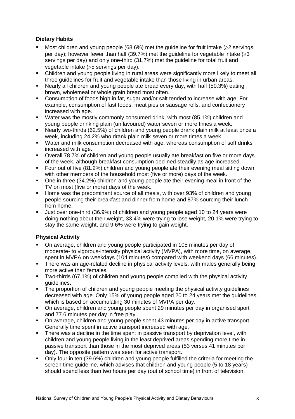#### **Dietary Habits**

- Most children and young people (68.6%) met the guideline for fruit intake  $(\geq 2$  servings per day); however fewer than half (39.7%) met the guideline for vegetable intake  $(\geq 3$ servings per day) and only one-third (31.7%) met the guideline for total fruit and vegetable intake  $(\geq 5$  servings per day).
- Children and young people living in rural areas were significantly more likely to meet all three guidelines for fruit and vegetable intake than those living in urban areas.
- Nearly all children and young people ate bread every day, with half (50.3%) eating brown, wholemeal or whole grain bread most often.
- Consumption of foods high in fat, sugar and/or salt tended to increase with age. For example, consumption of fast foods, meat pies or sausage rolls, and confectionery increased with age.
- Water was the mostly commonly consumed drink, with most (85.1%) children and young people drinking plain (unflavoured) water seven or more times a week.
- Nearly two-thirds (62.5%) of children and young people drank plain milk at least once a week, including 24.2% who drank plain milk seven or more times a week.
- Water and milk consumption decreased with age, whereas consumption of soft drinks increased with age.
- Overall 78.7% of children and young people usually ate breakfast on five or more days of the week, although breakfast consumption declined steadily as age increased.
- **F** Four out of five (81.2%) children and young people ate their evening meal sitting down with other members of the household most (five or more) days of the week.
- One in three (34.2%) children and young people ate their evening meal in front of the TV on most (five or more) days of the week.
- Home was the predominant source of all meals, with over 93% of children and young people sourcing their breakfast and dinner from home and 87% sourcing their lunch from home.
- Just over one-third (36.9%) of children and young people aged 10 to 24 years were doing nothing about their weight, 33.4% were trying to lose weight, 20.1% were trying to stay the same weight, and 9.6% were trying to gain weight.

#### **Physical Activity**

- On average, children and young people participated in 105 minutes per day of moderate- to vigorous-intensity physical activity (MVPA), with more time, on average, spent in MVPA on weekdays (104 minutes) compared with weekend days (66 minutes).
- There was an age-related decline in physical activity levels, with males generally being more active than females.
- Two-thirds (67.1%) of children and young people complied with the physical activity guidelines.
- The proportion of children and young people meeting the physical activity guidelines decreased with age. Only 15% of young people aged 20 to 24 years met the guidelines, which is based on accumulating 30 minutes of MVPA per day.
- On average, children and young people spent 29 minutes per day in organised sport and 77.6 minutes per day in free play.
- On average, children and young people spent 43 minutes per day in active transport. Generally time spent in active transport increased with age.
- **There was a decline in the time spent in passive transport by deprivation level, with** children and young people living in the least deprived areas spending more time in passive transport than those in the most deprived areas (53 versus 41 minutes per day). The opposite pattern was seen for active transport.
- Only four in ten (39.6%) children and young people fulfilled the criteria for meeting the screen time guideline, which advises that children and young people (5 to 18 years) should spend less than two hours per day (out of school time) in front of television,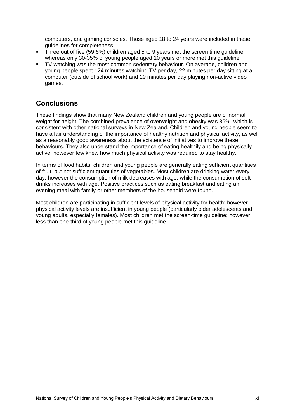computers, and gaming consoles. Those aged 18 to 24 years were included in these guidelines for completeness.

- Three out of five (59.6%) children aged 5 to 9 years met the screen time guideline, whereas only 30-35% of young people aged 10 years or more met this guideline.
- TV watching was the most common sedentary behaviour. On average, children and young people spent 124 minutes watching TV per day, 22 minutes per day sitting at a computer (outside of school work) and 19 minutes per day playing non-active video games.

### <span id="page-11-0"></span>**Conclusions**

These findings show that many New Zealand children and young people are of normal weight for height. The combined prevalence of overweight and obesity was 36%, which is consistent with other national surveys in New Zealand. Children and young people seem to have a fair understanding of the importance of healthy nutrition and physical activity, as well as a reasonably good awareness about the existence of initiatives to improve these behaviours. They also understand the importance of eating healthily and being physically active; however few knew how much physical activity was required to stay healthy.

In terms of food habits, children and young people are generally eating sufficient quantities of fruit, but not sufficient quantities of vegetables. Most children are drinking water every day; however the consumption of milk decreases with age, while the consumption of soft drinks increases with age. Positive practices such as eating breakfast and eating an evening meal with family or other members of the household were found.

Most children are participating in sufficient levels of physical activity for health; however physical activity levels are insufficient in young people (particularly older adolescents and young adults, especially females). Most children met the screen-time guideline; however less than one-third of young people met this guideline.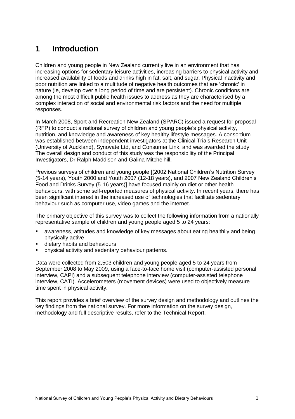# <span id="page-12-0"></span>**1 Introduction**

Children and young people in New Zealand currently live in an environment that has increasing options for sedentary leisure activities, increasing barriers to physical activity and increased availability of foods and drinks high in fat, salt, and sugar. Physical inactivity and poor nutrition are linked to a multitude of negative health outcomes that are 'chronic' in nature (ie, develop over a long period of time and are persistent). Chronic conditions are among the most difficult public health issues to address as they are characterised by a complex interaction of social and environmental risk factors and the need for multiple responses.

In March 2008, Sport and Recreation New Zealand (SPARC) issued a request for proposal (RFP) to conduct a national survey of children and young people's physical activity, nutrition, and knowledge and awareness of key healthy lifestyle messages. A consortium was established between independent investigators at the Clinical Trials Research Unit (University of Auckland), Synovate Ltd, and Consumer Link, and was awarded the study. The overall design and conduct of this study was the responsibility of the Principal Investigators, Dr Ralph Maddison and Galina Mitchelhill.

Previous surveys of children and young people [(2002 National Children's Nutrition Survey (5-14 years), Youth 2000 and Youth 2007 (12-18 years), and 2007 New Zealand Children's Food and Drinks Survey (5-16 years)] have focused mainly on diet or other health behaviours, with some self-reported measures of physical activity. In recent years, there has been significant interest in the increased use of technologies that facilitate sedentary behaviour such as computer use, video games and the internet.

The primary objective of this survey was to collect the following information from a nationally representative sample of children and young people aged 5 to 24 years:

- awareness, attitudes and knowledge of key messages about eating healthily and being physically active
- dietary habits and behaviours
- physical activity and sedentary behaviour patterns.

Data were collected from 2,503 children and young people aged 5 to 24 years from September 2008 to May 2009, using a face-to-face home visit (computer-assisted personal interview, CAPI) and a subsequent telephone interview (computer-assisted telephone interview, CATI). Accelerometers (movement devices) were used to objectively measure time spent in physical activity.

This report provides a brief overview of the survey design and methodology and outlines the key findings from the national survey. For more information on the survey design, methodology and full descriptive results, refer to the Technical Report.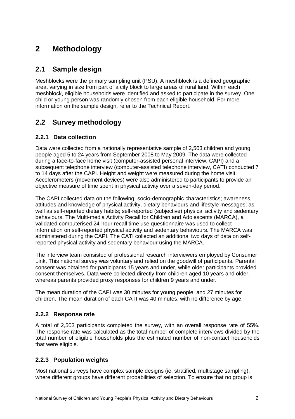# <span id="page-13-0"></span>**2 Methodology**

## <span id="page-13-1"></span>**2.1 Sample design**

Meshblocks were the primary sampling unit (PSU). A meshblock is a defined geographic area, varying in size from part of a city block to large areas of rural land. Within each meshblock, eligible households were identified and asked to participate in the survey. One child or young person was randomly chosen from each eligible household. For more information on the sample design, refer to the Technical Report.

# <span id="page-13-2"></span>**2.2 Survey methodology**

#### <span id="page-13-3"></span>**2.2.1 Data collection**

Data were collected from a nationally representative sample of 2,503 children and young people aged 5 to 24 years from September 2008 to May 2009. The data were collected during a face-to-face home visit (computer-assisted personal interview, CAPI) and a subsequent telephone interview (computer-assisted telephone interview, CATI) conducted 7 to 14 days after the CAPI. Height and weight were measured during the home visit. Accelerometers (movement devices) were also administered to participants to provide an objective measure of time spent in physical activity over a seven-day period.

The CAPI collected data on the following: socio-demographic characteristics; awareness, attitudes and knowledge of physical activity, dietary behaviours and lifestyle messages; as well as self-reported dietary habits; self-reported (subjective) physical activity and sedentary behaviours. The Multi-media Activity Recall for Children and Adolescents (MARCA), a validated computerised 24-hour recall time use questionnaire was used to collect information on self-reported physical activity and sedentary behaviours. The MARCA was administered during the CAPI. The CATI collected an additional two days of data on selfreported physical activity and sedentary behaviour using the MARCA.

The interview team consisted of professional research interviewers employed by Consumer Link. This national survey was voluntary and relied on the goodwill of participants. Parental consent was obtained for participants 15 years and under, while older participants provided consent themselves. Data were collected directly from children aged 10 years and older, whereas parents provided proxy responses for children 9 years and under.

The mean duration of the CAPI was 30 minutes for young people, and 27 minutes for children. The mean duration of each CATI was 40 minutes, with no difference by age.

#### <span id="page-13-4"></span>**2.2.2 Response rate**

A total of 2,503 participants completed the survey, with an overall response rate of 55%. The response rate was calculated as the total number of complete interviews divided by the total number of eligible households plus the estimated number of non-contact households that were eligible.

#### <span id="page-13-5"></span>**2.2.3 Population weights**

Most national surveys have complex sample designs (ie, stratified, multistage sampling), where different groups have different probabilities of selection. To ensure that no group is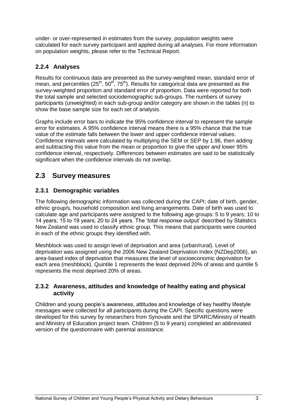under- or over-represented in estimates from the survey, population weights were calculated for each survey participant and applied during all analyses. For more information on population weights, please refer to the Technical Report.

#### <span id="page-14-0"></span>**2.2.4 Analyses**

Results for continuous data are presented as the survey-weighted mean, standard error of mean, and percentiles  $(25^{th}, 50^{th}, 75^{th})$ . Results for categorical data are presented as the survey-weighted proportion and standard error of proportion. Data were reported for both the total sample and selected sociodemographic sub-groups. The numbers of survey participants (unweighted) in each sub-group and/or category are shown in the tables (n) to show the base sample size for each set of analysis.

Graphs include error bars to indicate the 95% confidence interval to represent the sample error for estimates. A 95% confidence interval means there is a 95% chance that the true value of the estimate falls between the lower and upper confidence interval values. Confidence intervals were calculated by multiplying the SEM or SEP by 1.96, then adding and subtracting this value from the mean or proportion to give the upper and lower 95% confidence interval, respectively. Differences between estimates are said to be statistically significant when the confidence intervals do not overlap.

### <span id="page-14-1"></span>**2.3 Survey measures**

#### <span id="page-14-2"></span>**2.3.1 Demographic variables**

The following demographic information was collected during the CAPI: date of birth, gender, ethnic group/s, household composition and living arrangements. Date of birth was used to calculate age and participants were assigned to the following age groups: 5 to 9 years; 10 to 14 years; 15 to 19 years; 20 to 24 years. The 'total response output' described by Statistics New Zealand was used to classify ethnic group. This means that participants were counted in each of the ethnic groups they identified with.

Meshblock was used to assign level of deprivation and area (urban/rural). Level of deprivation was assigned using the 2006 New Zealand Deprivation Index (NZDep2006), an area-based index of deprivation that measures the level of socioeconomic deprivation for each area (meshblock). Quintile 1 represents the least deprived 20% of areas and quintile 5 represents the most deprived 20% of areas.

#### <span id="page-14-3"></span>**2.3.2 Awareness, attitudes and knowledge of healthy eating and physical activity**

Children and young people's awareness, attitudes and knowledge of key healthy lifestyle messages were collected for all participants during the CAPI. Specific questions were developed for this survey by researchers from Synovate and the SPARC/Ministry of Health and Ministry of Education project team. Children (5 to 9 years) completed an abbreviated version of the questionnaire with parental assistance.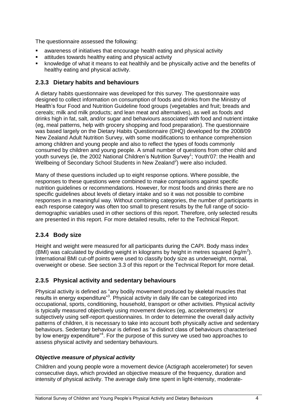The questionnaire assessed the following:

- awareness of initiatives that encourage health eating and physical activity
- attitudes towards healthy eating and physical activity
- knowledge of what it means to eat healthily and be physically active and the benefits of healthy eating and physical activity.

#### <span id="page-15-0"></span>**2.3.3 Dietary habits and behaviours**

A dietary habits questionnaire was developed for this survey. The questionnaire was designed to collect information on consumption of foods and drinks from the Ministry of Health's four Food and Nutrition Guideline food groups (vegetables and fruit; breads and cereals; milk and milk products; and lean meat and alternatives), as well as foods and drinks high in fat, salt, and/or sugar and behaviours associated with food and nutrient intake (eg, meal patterns, help with grocery shopping and food preparation). The questionnaire was based largely on the Dietary Habits Questionnaire (DHQ) developed for the 2008/09 New Zealand Adult Nutrition Survey, with some modifications to enhance comprehension among children and young people and also to reflect the types of foods commonly consumed by children and young people. A small number of questions from other child and youth surveys (ie, the 2002 National Children's Nutrition Survey<sup>1</sup>; Youth'07: the Health and Wellbeing of Secondary School Students in New Zealand<sup>2</sup>) were also included.

Many of these questions included up to eight response options. Where possible, the responses to these questions were combined to make comparisons against specific nutrition guidelines or recommendations. However, for most foods and drinks there are no specific guidelines about levels of dietary intake and so it was not possible to combine responses in a meaningful way. Without combining categories, the number of participants in each response category was often too small to present results by the full range of sociodemographic variables used in other sections of this report. Therefore, only selected results are presented in this report. For more detailed results, refer to the Technical Report.

#### <span id="page-15-1"></span>**2.3.4 Body size**

Height and weight were measured for all participants during the CAPI. Body mass index (BMI) was calculated by dividing weight in kilograms by height in metres squared (kg/m<sup>2</sup>). International BMI cut-off points were used to classify body size as underweight, normal, overweight or obese. See section 3.3 of this report or the Technical Report for more detail.

#### <span id="page-15-2"></span>**2.3.5 Physical activity and sedentary behaviours**

Physical activity is defined as "any bodily movement produced by skeletal muscles that results in energy expenditure"<sup>3</sup>. Physical activity in daily life can be categorized into occupational, sports, conditioning, household, transport or other activities. Physical activity is typically measured objectively using movement devices (eg, accelerometers) or subjectively using self-report questionnaires. In order to determine the overall daily activity patterns of children, it is necessary to take into account both physically active and sedentary behaviours. Sedentary behaviour is defined as "a distinct class of behaviours characterised by low energy expenditure"<sup>4</sup>. For the purpose of this survey we used two approaches to assess physical activity and sedentary behaviours.

#### *Objective measure of physical activity*

Children and young people wore a movement device (Actigraph accelerometer) for seven consecutive days, which provided an objective measure of the frequency, duration and intensity of physical activity. The average daily time spent in light-intensity, moderate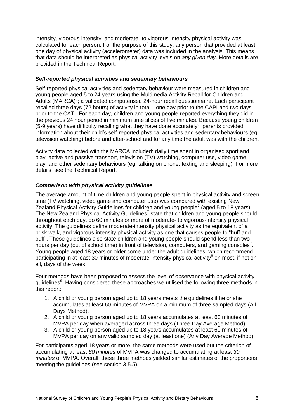intensity, vigorous-intensity, and moderate- to vigorous-intensity physical activity was calculated for each person. For the purpose of this study, any person that provided at least one day of physical activity (accelerometer) data was included in the analysis. This means that data should be interpreted as physical activity levels on *any given day*. More details are provided in the Technical Report.

#### *Self-reported physical activities and sedentary behaviours*

Self-reported physical activities and sedentary behaviour were measured in children and young people aged 5 to 24 years using the Multimedia Activity Recall for Children and Adults (MARCA)<sup>5</sup>; a validated computerised 24-hour recall questionnaire. Each participant recalled three days (72 hours) of activity in total—one day prior to the CAPI and two days prior to the CATI. For each day, children and young people reported everything they did in the previous 24 hour period in minimum time slices of five minutes. Because young children  $(5-9 \text{ years})$  have difficulty recalling what they have done accurately $6$ , parents provided information about their child's self-reported physical activities and sedentary behaviours (eg, television watching) before and after-school and for any time the adult was with the children.

Activity data collected with the MARCA included: daily time spent in organised sport and play, active and passive transport, television (TV) watching, computer use, video game, play, and other sedentary behaviours (eg, talking on phone, texting and sleeping). For more details, see the Technical Report.

#### *Comparison with physical activity guidelines*

The average amount of time children and young people spent in physical activity and screen time (TV watching, video game and computer use) was compared with existing New Zealand Physical Activity Guidelines for children and young people<sup>7</sup> (aged 5 to 18 years). The New Zealand Physical Activity Guidelines<sup>7</sup> state that children and young people should, throughout each day, do 60 minutes or more of moderate- to vigorous-intensity physical activity. The guidelines define moderate-intensity physical activity as the equivalent of a brisk walk, and vigorous-intensity physical activity as one that causes people to "huff and puff‖. These guidelines also state children and young people should spend less than two hours per day (out of school time) in front of television, computers, and gaming consoles<sup>7</sup>. Young people aged 18 years or older come under the adult guidelines, which recommend participating in at least 30 minutes of moderate-intensity physical activity<sup>8</sup> on most, if not on all, days of the week.

Four methods have been proposed to assess the level of observance with physical activity guidelines<sup>9</sup>. Having considered these approaches we utilised the following three methods in this report:

- 1. A child or young person aged up to 18 years meets the guidelines if he or she accumulates at least 60 minutes of MVPA on a minimum of three sampled days (All Days Method).
- 2. A child or young person aged up to 18 years accumulates at least 60 minutes of MVPA per day when averaged across three days (Three Day Average Method).
- 3. A child or young person aged up to 18 years accumulates at least 60 minutes of MVPA per day on any valid sampled day (at least one) (Any Day Average Method).

For participants aged 18 years or more, the same methods were used but the criterion of accumulating at least *60 minutes* of MVPA was changed to accumulating at least *30 minutes* of MVPA. Overall, these three methods yielded similar estimates of the proportions meeting the guidelines (see section 3.5.5).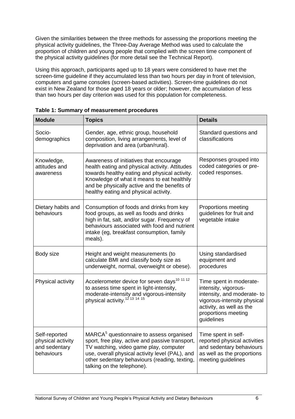Given the similarities between the three methods for assessing the proportions meeting the physical activity guidelines, the Three-Day Average Method was used to calculate the proportion of children and young people that complied with the screen time component of the physical activity guidelines (for more detail see the Technical Report).

Using this approach, participants aged up to 18 years were considered to have met the screen-time guideline if they accumulated less than two hours per day in front of television, computers and game consoles (screen-based activities). Screen-time guidelines do not exist in New Zealand for those aged 18 years or older; however, the accumulation of less than two hours per day criterion was used for this population for completeness.

| <b>Module</b>                                                     | <b>Topics</b>                                                                                                                                                                                                                                                                       | <b>Details</b>                                                                                                                                                                |
|-------------------------------------------------------------------|-------------------------------------------------------------------------------------------------------------------------------------------------------------------------------------------------------------------------------------------------------------------------------------|-------------------------------------------------------------------------------------------------------------------------------------------------------------------------------|
| Socio-<br>demographics                                            | Gender, age, ethnic group, household<br>composition, living arrangements, level of<br>deprivation and area (urban/rural).                                                                                                                                                           | Standard questions and<br>classifications                                                                                                                                     |
| Knowledge,<br>attitudes and<br>awareness                          | Awareness of initiatives that encourage<br>health eating and physical activity. Attitudes<br>towards healthy eating and physical activity.<br>Knowledge of what it means to eat healthily<br>and be physically active and the benefits of<br>healthy eating and physical activity.  | Responses grouped into<br>coded categories or pre-<br>coded responses.                                                                                                        |
| Dietary habits and<br>behaviours                                  | Consumption of foods and drinks from key<br>food groups, as well as foods and drinks<br>high in fat, salt, and/or sugar. Frequency of<br>behaviours associated with food and nutrient<br>intake (eg, breakfast consumption, family<br>meals).                                       | Proportions meeting<br>guidelines for fruit and<br>vegetable intake                                                                                                           |
| Body size                                                         | Height and weight measurements (to<br>calculate BMI and classify body size as<br>underweight, normal, overweight or obese).                                                                                                                                                         | Using standardised<br>equipment and<br>procedures                                                                                                                             |
| Physical activity                                                 | Accelerometer device for seven days <sup>10 11 12</sup><br>to assess time spent in light-intensity,<br>moderate-intensity and vigorous-intensity<br>physical activity. <sup>12 13</sup> <sup>14 15</sup>                                                                            | Time spent in moderate-<br>intensity, vigorous-<br>intensity, and moderate-to<br>vigorous-intensity physical<br>activity, as well as the<br>proportions meeting<br>guidelines |
| Self-reported<br>physical activity<br>and sedentary<br>behaviours | MARCA <sup>5</sup> questionnaire to assess organised<br>sport, free play, active and passive transport,<br>TV watching, video game play, computer<br>use, overall physical activity level (PAL), and<br>other sedentary behaviours (reading, texting,<br>talking on the telephone). | Time spent in self-<br>reported physical activities<br>and sedentary behaviours<br>as well as the proportions<br>meeting guidelines                                           |

<span id="page-17-0"></span>**Table 1: Summary of measurement procedures**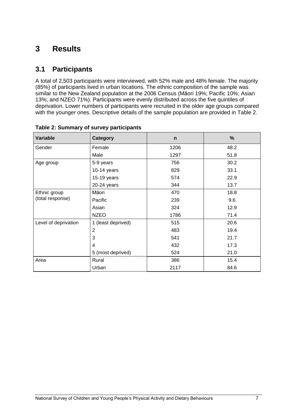# <span id="page-18-0"></span>**3 Results**

## <span id="page-18-1"></span>**3.1 Participants**

A total of 2,503 participants were interviewed, with 52% male and 48% female. The majority (85%) of participants lived in urban locations. The ethnic composition of the sample was similar to the New Zealand population at the 2006 Census (Māori 19%; Pacific 10%; Asian 13%; and NZEO 71%). Participants were evenly distributed across the five quintiles of deprivation. Lower numbers of participants were recruited in the older age groups compared with the younger ones. Descriptive details of the sample population are provided in Table 2.

| Variable             | <b>Category</b>    | $\mathsf{n}$ | %    |
|----------------------|--------------------|--------------|------|
| Gender               | Female             | 1206         | 48.2 |
|                      | Male               | 1297         | 51.8 |
| Age group            | 5-9 years          | 756          | 30.2 |
|                      | 10-14 years        | 829          | 33.1 |
|                      | 15-19 years        | 574          | 22.9 |
|                      | 20-24 years        | 344          | 13.7 |
| Ethnic group         | Māori              | 470          | 18.8 |
| (total response)     | Pacific            | 239          | 9.6  |
|                      | Asian              | 324          | 12.9 |
|                      | <b>NZEO</b>        | 1786         | 71.4 |
| Level of deprivation | 1 (least deprived) | 515          | 20.6 |
|                      | $\overline{2}$     | 483          | 19.4 |
|                      | 3                  | 541          | 21.7 |
|                      | 4                  | 432          | 17.3 |
|                      | 5 (most deprived)  | 524          | 21.0 |
| Area                 | Rural              | 386          | 15.4 |
|                      | Urban              | 2117         | 84.6 |

<span id="page-18-2"></span>

| Table 2: Summary of survey participants |  |  |  |  |
|-----------------------------------------|--|--|--|--|
|-----------------------------------------|--|--|--|--|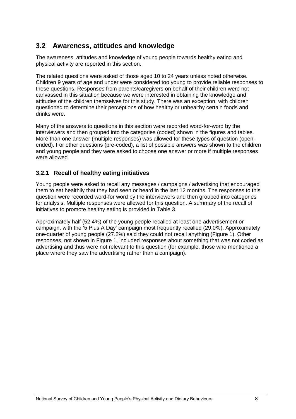## <span id="page-19-0"></span>**3.2 Awareness, attitudes and knowledge**

The awareness, attitudes and knowledge of young people towards healthy eating and physical activity are reported in this section.

The related questions were asked of those aged 10 to 24 years unless noted otherwise. Children 9 years of age and under were considered too young to provide reliable responses to these questions. Responses from parents/caregivers on behalf of their children were not canvassed in this situation because we were interested in obtaining the knowledge and attitudes of the children themselves for this study. There was an exception, with children questioned to determine their perceptions of how healthy or unhealthy certain foods and drinks were.

Many of the answers to questions in this section were recorded word-for-word by the interviewers and then grouped into the categories (coded) shown in the figures and tables. More than one answer (multiple responses) was allowed for these types of question (openended). For other questions (pre-coded), a list of possible answers was shown to the children and young people and they were asked to choose one answer or more if multiple responses were allowed.

#### <span id="page-19-1"></span>**3.2.1 Recall of healthy eating initiatives**

Young people were asked to recall any messages / campaigns / advertising that encouraged them to eat healthily that they had seen or heard in the last 12 months. The responses to this question were recorded word-for word by the interviewers and then grouped into categories for analysis. Multiple responses were allowed for this question. A summary of the recall of initiatives to promote healthy eating is provided in Table 3.

Approximately half (52.4%) of the young people recalled at least one advertisement or campaign, with the ‗5 Plus A Day' campaign most frequently recalled (29.0%). Approximately one-quarter of young people (27.2%) said they could not recall anything (Figure 1). Other responses, not shown in Figure 1, included responses about something that was not coded as advertising and thus were not relevant to this question (for example, those who mentioned a place where they saw the advertising rather than a campaign).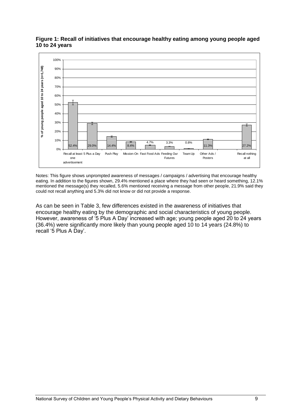

<span id="page-20-0"></span>**Figure 1: Recall of initiatives that encourage healthy eating among young people aged 10 to 24 years**

Notes: This figure shows unprompted awareness of messages / campaigns / advertising that encourage healthy eating. In addition to the figures shown, 29.4% mentioned a place where they had seen or heard something, 12.1% mentioned the message(s) they recalled, 5.6% mentioned receiving a message from other people, 21.9% said they could not recall anything and 5.3% did not know or did not provide a response.

As can be seen in Table 3, few differences existed in the awareness of initiatives that encourage healthy eating by the demographic and social characteristics of young people. However, awareness of '5 Plus A Day' increased with age; young people aged 20 to 24 years (36.4%) were significantly more likely than young people aged 10 to 14 years (24.8%) to recall '5 Plus A Day'.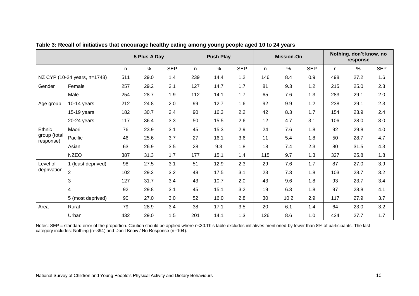|                              |                    |     | 5 Plus A Day |            | <b>Push Play</b> |      | <b>Mission-On</b> |     |      | Nothing, don't know, no<br>response |     |      |            |
|------------------------------|--------------------|-----|--------------|------------|------------------|------|-------------------|-----|------|-------------------------------------|-----|------|------------|
|                              |                    | n   | $\%$         | <b>SEP</b> | n.               | $\%$ | <b>SEP</b>        | n.  | $\%$ | <b>SEP</b>                          | n.  | $\%$ | <b>SEP</b> |
| NZ CYP (10-24 years, n=1748) |                    | 511 | 29.0         | 1.4        | 239              | 14.4 | 1.2               | 146 | 8.4  | 0.9                                 | 498 | 27.2 | 1.6        |
| Gender                       | Female             | 257 | 29.2         | 2.1        | 127              | 14.7 | 1.7               | 81  | 9.3  | $1.2$                               | 215 | 25.0 | 2.3        |
|                              | Male               | 254 | 28.7         | 1.9        | 112              | 14.1 | 1.7               | 65  | 7.6  | 1.3                                 | 283 | 29.1 | 2.0        |
| Age group                    | $10-14$ years      | 212 | 24.8         | 2.0        | 99               | 12.7 | 1.6               | 92  | 9.9  | $1.2$                               | 238 | 29.1 | 2.3        |
|                              | 15-19 years        | 182 | 30.7         | 2.4        | 90               | 16.3 | 2.2               | 42  | 8.3  | 1.7                                 | 154 | 23.9 | 2.4        |
|                              | 20-24 years        | 117 | 36.4         | 3.3        | 50               | 15.5 | 2.6               | 12  | 4.7  | 3.1                                 | 106 | 28.0 | 3.0        |
| Ethnic                       | Māori              | 76  | 23.9         | 3.1        | 45               | 15.3 | 2.9               | 24  | 7.6  | 1.8                                 | 92  | 29.8 | 4.0        |
| group (total<br>response)    | Pacific            | 46  | 25.6         | 3.7        | 27               | 16.1 | 3.6               | 11  | 5.4  | 1.8                                 | 50  | 28.7 | 4.7        |
|                              | Asian              | 63  | 26.9         | 3.5        | 28               | 9.3  | 1.8               | 18  | 7.4  | 2.3                                 | 80  | 31.5 | 4.3        |
|                              | <b>NZEO</b>        | 387 | 31.3         | 1.7        | 177              | 15.1 | 1.4               | 115 | 9.7  | 1.3                                 | 327 | 25.8 | 1.8        |
| Level of                     | 1 (least deprived) | 98  | 27.5         | 3.1        | 51               | 12.9 | 2.3               | 29  | 7.6  | 1.7                                 | 87  | 27.0 | 3.9        |
| deprivation                  | $\overline{2}$     | 102 | 29.2         | 3.2        | 48               | 17.5 | 3.1               | 23  | 7.3  | 1.8                                 | 103 | 28.7 | 3.2        |
|                              | 3                  | 127 | 31.7         | 3.4        | 43               | 10.7 | 2.0               | 43  | 9.6  | 1.8                                 | 93  | 23.7 | 3.4        |
|                              | 4                  | 92  | 29.8         | 3.1        | 45               | 15.1 | 3.2               | 19  | 6.3  | 1.8                                 | 97  | 28.8 | 4.1        |
|                              | 5 (most deprived)  | 90  | 27.0         | 3.0        | 52               | 16.0 | 2.8               | 30  | 10.2 | 2.9                                 | 117 | 27.9 | 3.7        |
| Area                         | Rural              | 79  | 28.9         | 3.4        | 38               | 17.1 | 3.5               | 20  | 6.1  | 1.4                                 | 64  | 23.0 | 3.2        |
|                              | Urban              | 432 | 29.0         | 1.5        | 201              | 14.1 | 1.3               | 126 | 8.6  | 1.0                                 | 434 | 27.7 | 1.7        |

**Table 3: Recall of initiatives that encourage healthy eating among young people aged 10 to 24 years**

<span id="page-21-0"></span>Notes: SEP = standard error of the proportion. Caution should be applied where n<30. This table excludes initiatives mentioned by fewer than 8% of participants. The last category includes: Nothing (n=394) and Don't Know / No Response (n=104).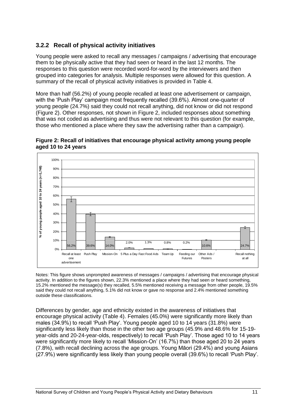### <span id="page-22-0"></span>**3.2.2 Recall of physical activity initiatives**

Young people were asked to recall any messages / campaigns / advertising that encourage them to be physically active that they had seen or heard in the last 12 months. The responses to this question were recorded word-for-word by the interviewers and then grouped into categories for analysis. Multiple responses were allowed for this question. A summary of the recall of physical activity initiatives is provided in Table 4.

More than half (56.2%) of young people recalled at least one advertisement or campaign, with the 'Push Play' campaign most frequently recalled (39.6%). Almost one-quarter of young people (24.7%) said they could not recall anything, did not know or did not respond (Figure 2). Other responses, not shown in Figure 2, included responses about something that was not coded as advertising and thus were not relevant to this question (for example, those who mentioned a place where they saw the advertising rather than a campaign).

<span id="page-22-1"></span>



Notes: This figure shows unprompted awareness of messages / campaigns / advertising that encourage physical activity. In addition to the figures shown, 22.3% mentioned a place where they had seen or heard something, 15.2% mentioned the message(s) they recalled, 5.5% mentioned receiving a message from other people, 19.5% said they could not recall anything, 5.1% did not know or gave no response and 2.4% mentioned something outside these classifications.

Differences by gender, age and ethnicity existed in the awareness of initiatives that encourage physical activity (Table 4). Females (45.0%) were significantly more likely than males (34.9%) to recall 'Push Play'. Young people aged 10 to 14 years (31.8%) were significantly less likely than those in the other two age groups (45.9% and 48.6% for 15-19 year-olds and 20-24-year-olds, respectively) to recall 'Push Play'. Those aged 10 to 14 years were significantly more likely to recall 'Mission-On' (16.7%) than those aged 20 to 24 years (7.8%), with recall declining across the age groups. Young Māori (29.4%) and young Asians (27.9%) were significantly less likely than young people overall (39.6%) to recall 'Push Play'.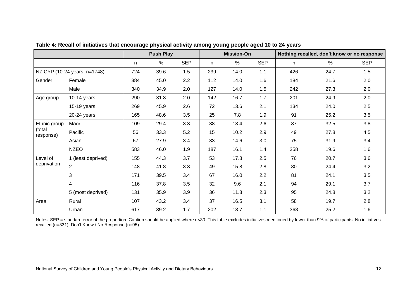|                     |                              |     | <b>Push Play</b> |            |     | <b>Mission-On</b> |            | Nothing recalled, don't know or no response |      |            |
|---------------------|------------------------------|-----|------------------|------------|-----|-------------------|------------|---------------------------------------------|------|------------|
|                     |                              | n.  | $\%$             | <b>SEP</b> | n.  | %                 | <b>SEP</b> | n.                                          | $\%$ | <b>SEP</b> |
|                     | NZ CYP (10-24 years, n=1748) | 724 | 39.6             | 1.5        | 239 | 14.0              | 1.1        | 426                                         | 24.7 | 1.5        |
| Gender              | Female                       | 384 | 45.0             | 2.2        | 112 | 14.0              | 1.6        | 184                                         | 21.6 | 2.0        |
|                     | Male                         | 340 | 34.9             | 2.0        | 127 | 14.0              | 1.5        | 242                                         | 27.3 | 2.0        |
| Age group           | $10-14$ years                | 290 | 31.8             | 2.0        | 142 | 16.7              | 1.7        | 201                                         | 24.9 | 2.0        |
|                     | 15-19 years                  | 269 | 45.9             | 2.6        | 72  | 13.6              | 2.1        | 134                                         | 24.0 | 2.5        |
|                     | 20-24 years                  | 165 | 48.6             | 3.5        | 25  | 7.8               | 1.9        | 91                                          | 25.2 | 3.5        |
| Ethnic group        | Māori                        | 109 | 29.4             | 3.3        | 38  | 13.4              | 2.6        | 87                                          | 32.5 | 3.8        |
| (total<br>response) | Pacific                      | 56  | 33.3             | 5.2        | 15  | 10.2              | 2.9        | 49                                          | 27.8 | 4.5        |
|                     | Asian                        | 67  | 27.9             | 3.4        | 33  | 14.6              | 3.0        | 75                                          | 31.9 | 3.4        |
|                     | <b>NZEO</b>                  | 583 | 46.0             | 1.9        | 187 | 16.1              | 1.4        | 258                                         | 19.6 | 1.6        |
| Level of            | 1 (least deprived)           | 155 | 44.3             | 3.7        | 53  | 17.8              | 2.5        | 76                                          | 20.7 | 3.6        |
| deprivation         | $\overline{2}$               | 148 | 41.8             | 3.3        | 49  | 15.8              | 2.8        | 80                                          | 24.4 | 3.2        |
|                     | 3                            | 171 | 39.5             | 3.4        | 67  | 16.0              | 2.2        | 81                                          | 24.1 | 3.5        |
|                     | 4                            | 116 | 37.8             | 3.5        | 32  | 9.6               | 2.1        | 94                                          | 29.1 | 3.7        |
|                     | 5 (most deprived)            | 131 | 35.9             | 3.9        | 36  | 11.3              | 2.3        | 95                                          | 24.8 | 3.2        |
| Area                | Rural                        | 107 | 43.2             | 3.4        | 37  | 16.5              | 3.1        | 58                                          | 19.7 | 2.8        |
|                     | Urban                        | 617 | 39.2             | 1.7        | 202 | 13.7              | 1.1        | 368                                         | 25.2 | 1.6        |

**Table 4: Recall of initiatives that encourage physical activity among young people aged 10 to 24 years**

<span id="page-23-0"></span>Notes: SEP = standard error of the proportion. Caution should be applied where n<30. This table excludes initiatives mentioned by fewer than 9% of participants. No initiatives recalled (n=331); Don't Know / No Response (n=95).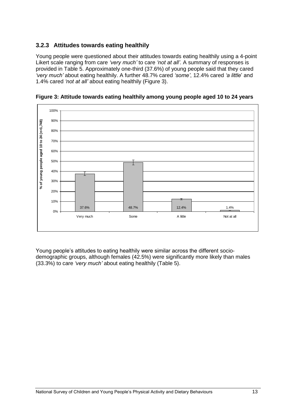#### <span id="page-24-0"></span>**3.2.3 Attitudes towards eating healthily**

Young people were questioned about their attitudes towards eating healthily using a 4-point Likert scale ranging from care *"very much"* to care *"not at all"*. A summary of responses is provided in Table 5. Approximately one-third (37.6%) of young people said that they cared *"very much"* about eating healthily. A further 48.7% cared *"some"*, 12.4% cared *"a little*' and 1.4% cared *"not at all"* about eating healthily (Figure 3).



<span id="page-24-1"></span>**Figure 3: Attitude towards eating healthily among young people aged 10 to 24 years**

Young people's attitudes to eating healthily were similar across the different sociodemographic groups, although females (42.5%) were significantly more likely than males (33.3%) to care *"very much"* about eating healthily (Table 5).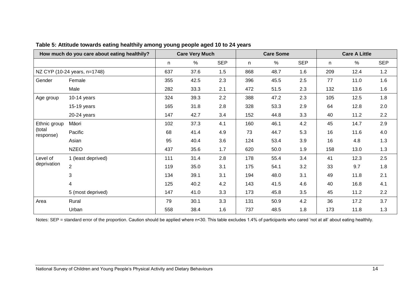|                     | How much do you care about eating healthily? |     | <b>Care Very Much</b> |            |     | <b>Care Some</b> |            |     | <b>Care A Little</b> |            |
|---------------------|----------------------------------------------|-----|-----------------------|------------|-----|------------------|------------|-----|----------------------|------------|
|                     |                                              | n   | %                     | <b>SEP</b> | n   | %                | <b>SEP</b> | n   | $\%$                 | <b>SEP</b> |
|                     | NZ CYP (10-24 years, n=1748)                 | 637 | 37.6                  | 1.5        | 868 | 48.7             | 1.6        | 209 | 12.4                 | 1.2        |
| Gender              | Female                                       | 355 | 42.5                  | 2.3        | 396 | 45.5             | 2.5        | 77  | 11.0                 | 1.6        |
|                     | Male                                         | 282 | 33.3                  | 2.1        | 472 | 51.5             | 2.3        | 132 | 13.6                 | 1.6        |
| Age group           | $10-14$ years                                | 324 | 39.3                  | 2.2        | 388 | 47.2             | 2.3        | 105 | 12.5                 | 1.8        |
|                     | 15-19 years                                  | 165 | 31.8                  | 2.8        | 328 | 53.3             | 2.9        | 64  | 12.8                 | 2.0        |
|                     | 20-24 years                                  | 147 | 42.7                  | 3.4        | 152 | 44.8             | 3.3        | 40  | 11.2                 | 2.2        |
| Ethnic group        | Māori                                        | 102 | 37.3                  | 4.1        | 160 | 46.1             | 4.2        | 45  | 14.7                 | 2.9        |
| (total<br>response) | Pacific                                      | 68  | 41.4                  | 4.9        | 73  | 44.7             | 5.3        | 16  | 11.6                 | 4.0        |
|                     | Asian                                        | 95  | 40.4                  | 3.6        | 124 | 53.4             | 3.9        | 16  | 4.8                  | 1.3        |
|                     | <b>NZEO</b>                                  | 437 | 35.6                  | 1.7        | 620 | 50.0             | 1.9        | 158 | 13.0                 | 1.3        |
| Level of            | 1 (least deprived)                           | 111 | 31.4                  | 2.8        | 178 | 55.4             | 3.4        | 41  | 12.3                 | 2.5        |
| deprivation         | $\overline{2}$                               | 119 | 35.0                  | 3.1        | 175 | 54.1             | 3.2        | 33  | 9.7                  | 1.8        |
|                     | 3                                            | 134 | 39.1                  | 3.1        | 194 | 48.0             | 3.1        | 49  | 11.8                 | 2.1        |
|                     | 4                                            | 125 | 40.2                  | 4.2        | 143 | 41.5             | 4.6        | 40  | 16.8                 | 4.1        |
|                     | 5 (most deprived)                            | 147 | 41.0                  | 3.3        | 173 | 45.8             | 3.5        | 45  | 11.2                 | 2.2        |
| Area                | Rural                                        | 79  | 30.1                  | 3.3        | 131 | 50.9             | 4.2        | 36  | 17.2                 | 3.7        |
|                     | Urban                                        | 558 | 38.4                  | 1.6        | 737 | 48.5             | 1.8        | 173 | 11.8                 | 1.3        |

**Table 5: Attitude towards eating healthily among young people aged 10 to 24 years**

<span id="page-25-0"></span>Notes: SEP = standard error of the proportion. Caution should be applied where n<30. This table excludes 1.4% of participants who cared 'not at all' about eating healthily.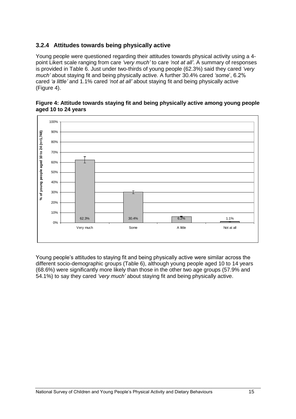#### <span id="page-26-0"></span>**3.2.4 Attitudes towards being physically active**

Young people were questioned regarding their attitudes towards physical activity using a 4 point Likert scale ranging from care *"very much"* to care *"not at all"*. A summary of responses is provided in Table 6. Just under two-thirds of young people (62.3%) said they cared *"very much"* about staying fit and being physically active. A further 30.4% cared *"some*', 6.2% cared *"a little"* and 1.1% cared *"not at all"* about staying fit and being physically active (Figure 4).



#### <span id="page-26-1"></span>**Figure 4: Attitude towards staying fit and being physically active among young people aged 10 to 24 years**

Young people's attitudes to staying fit and being physically active were similar across the different socio-demographic groups (Table 6), although young people aged 10 to 14 years (68.6%) were significantly more likely than those in the other two age groups (57.9% and 54.1%) to say they cared *"very much"* about staying fit and being physically active.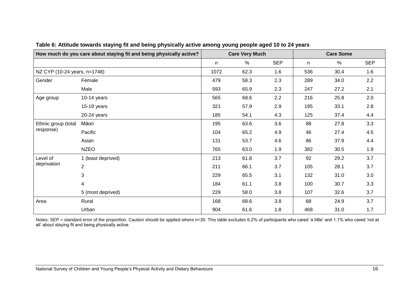|                              | How much do you care about staying fit and being physically active? |     | <b>Care Very Much</b> |            | <b>Care Some</b> |      |            |  |  |
|------------------------------|---------------------------------------------------------------------|-----|-----------------------|------------|------------------|------|------------|--|--|
|                              |                                                                     | n   | %                     | <b>SEP</b> | n                | $\%$ | <b>SEP</b> |  |  |
| NZ CYP (10-24 years, n=1748) |                                                                     |     | 62.3                  | 1.6        | 536              | 30.4 | 1.6        |  |  |
| Gender                       | Female                                                              | 479 | 58.3                  | 2.3        | 289              | 34.0 | 2.2        |  |  |
|                              | Male                                                                | 593 | 65.9                  | 2.3        | 247              | 27.2 | 2.1        |  |  |
| Age group                    | $10-14$ years                                                       | 565 | 68.6                  | 2.2        | 216              | 25.8 | 2.0        |  |  |
|                              | 15-19 years                                                         | 321 | 57.9                  | 2.9        | 195              | 33.1 | 2.8        |  |  |
|                              | 20-24 years                                                         | 185 | 54.1                  | 4.3        | 125              | 37.4 | 4.4        |  |  |
| Ethnic group (total          | Māori                                                               | 195 | 63.6                  | 3.6        | 88               | 27.8 | 3.3        |  |  |
| response)                    | Pacific                                                             | 104 | 65.2                  | 4.9        | 46               | 27.4 | 4.5        |  |  |
|                              | Asian                                                               | 131 | 53.7                  | 4.6        | 86               | 37.9 | 4.4        |  |  |
|                              | <b>NZEO</b>                                                         | 765 | 63.0                  | 1.9        | 382              | 30.5 | 1.9        |  |  |
| Level of                     | 1 (least deprived)                                                  | 213 | 61.8                  | 3.7        | 92               | 29.2 | 3.7        |  |  |
| deprivation                  | $\overline{2}$                                                      | 211 | 66.1                  | 3.7        | 105              | 28.1 | 3.7        |  |  |
|                              | $\sqrt{3}$                                                          | 229 | 65.5                  | 3.1        | 132              | 31.0 | 3.0        |  |  |
|                              | 4                                                                   | 184 | 61.1                  | 3.8        | 100              | 30.7 | 3.3        |  |  |
|                              | 5 (most deprived)                                                   | 229 | 58.0                  | 3.8        | 107              | 32.6 | 3.7        |  |  |
| Area                         | Rural                                                               | 168 | 68.6                  | 3.8        | 68               | 24.9 | 3.7        |  |  |
|                              | Urban                                                               | 904 | 61.6                  | 1.8        | 468              | 31.0 | 1.7        |  |  |

#### **Table 6: Attitude towards staying fit and being physically active among young people aged 10 to 24 years**

<span id="page-27-0"></span>Notes: SEP = standard error of the proportion. Caution should be applied where n<30. This table excludes 6.2% of participants who cared 'a little' and 1.1% who cared 'not at all' about staying fit and being physically active.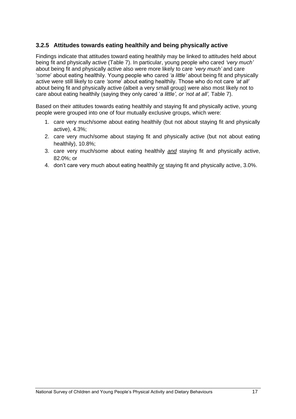#### <span id="page-28-0"></span>**3.2.5 Attitudes towards eating healthily and being physically active**

Findings indicate that attitudes toward eating healthily may be linked to attitudes held about being fit and physically active (Table 7). In particular, young people who cared *"very much"* about being fit and physically active also were more likely to care *"very much"* and care ‗*some*' about eating healthily. Young people who cared *"a little"* about being fit and physically active were still likely to care *"some*' about eating healthily. Those who do not care *"at all"* about being fit and physically active (albeit a very small group) were also most likely not to care about eating healthily (saying they only cared 'a little', or 'not at all', Table 7).

Based on their attitudes towards eating healthily and staying fit and physically active, young people were grouped into one of four mutually exclusive groups, which were:

- 1. care very much/some about eating healthily (but not about staying fit and physically active), 4.3%;
- 2. care very much/some about staying fit and physically active (but not about eating healthily), 10.8%;
- 3. care very much/some about eating healthily *and* staying fit and physically active, 82.0%; or
- 4. don't care very much about eating healthily *or* staying fit and physically active, 3.0%.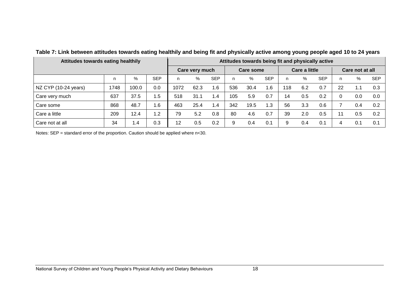| Attitudes towards eating healthily |      |       |                |      | Attitudes towards being fit and physically active |                  |     |      |               |     |     |                 |    |      |            |  |
|------------------------------------|------|-------|----------------|------|---------------------------------------------------|------------------|-----|------|---------------|-----|-----|-----------------|----|------|------------|--|
|                                    |      |       | Care very much |      |                                                   | <b>Care some</b> |     |      | Care a little |     |     | Care not at all |    |      |            |  |
|                                    | n    | $\%$  | <b>SEP</b>     | n    | %                                                 | <b>SEP</b>       | n   | %    | <b>SEP</b>    | n.  | %   | <b>SEP</b>      | n. | $\%$ | <b>SEP</b> |  |
| NZ CYP (10-24 years)               | 1748 | 100.0 | 0.0            | 1072 | 62.3                                              | 1.6              | 536 | 30.4 | 1.6           | 118 | 6.2 | 0.7             | 22 | 1.1  | 0.3        |  |
| Care very much                     | 637  | 37.5  | 1.5            | 518  | 31.1                                              | 1.4              | 105 | 5.9  | 0.7           | 14  | 0.5 | 0.2             |    | 0.0  | 0.0        |  |
| Care some                          | 868  | 48.7  | 1.6            | 463  | 25.4                                              | 1.4              | 342 | 19.5 | 1.3           | 56  | 3.3 | 0.6             |    | 0.4  | 0.2        |  |
| Care a little                      | 209  | 12.4  | 1.2            | 79   | 5.2                                               | 0.8              | 80  | 4.6  | 0.7           | 39  | 2.0 | 0.5             |    | 0.5  | 0.2        |  |
| Care not at all                    | 34   | 1.4   | 0.3            | 12   | 0.5                                               | 0.2              | 9   | 0.4  | 0.1           | 9   | 0.4 | 0.1             |    | 0.1  | 0.1        |  |

**Table 7: Link between attitudes towards eating healthily and being fit and physically active among young people aged 10 to 24 years**

<span id="page-29-0"></span>Notes: SEP = standard error of the proportion. Caution should be applied where n<30.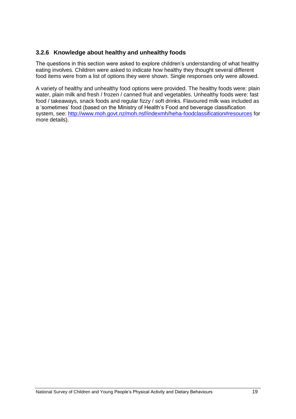#### <span id="page-30-0"></span>**3.2.6 Knowledge about healthy and unhealthy foods**

The questions in this section were asked to explore children's understanding of what healthy eating involves. Children were asked to indicate how healthy they thought several different food items were from a list of options they were shown. Single responses only were allowed.

A variety of healthy and unhealthy food options were provided. The healthy foods were: plain water, plain milk and fresh / frozen / canned fruit and vegetables. Unhealthy foods were: fast food / takeaways, snack foods and regular fizzy / soft drinks. Flavoured milk was included as a 'sometimes' food (based on the Ministry of Health's Food and beverage classification system, see:<http://www.moh.govt.nz/moh.nsf/indexmh/heha-foodclassification#resources> for more details).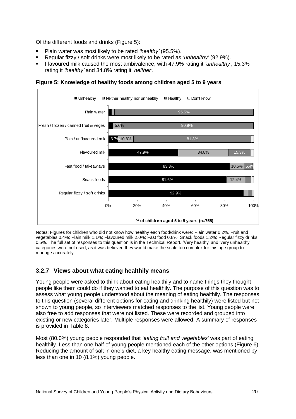Of the different foods and drinks (Figure 5):

- Plain water was most likely to be rated *"healthy"* (95.5%).
- Regular fizzy / soft drinks were most likely to be rated as *"unhealthy"* (92.9%).
- Flavoured milk caused the most ambivalence, with 47.9% rating it *"unhealthy"*, 15.3% rating it *"healthy"* and 34.8% rating it *"neither"*.



<span id="page-31-1"></span>**Figure 5: Knowledge of healthy foods among children aged 5 to 9 years**

Notes: Figures for children who did not know how healthy each food/drink were: Plain water 0.2%, Fruit and vegetables 0.4%; Plain milk 1.1%; Flavoured milk 2.0%; Fast food 0.8%; Snack foods 1.2%; Regular fizzy drinks 0.5%. The full set of responses to this question is in the Technical Report. 'Very healthy' and 'very unhealthy' categories were not used, as it was believed they would make the scale too complex for this age group to manage accurately.

#### <span id="page-31-0"></span>**3.2.7 Views about what eating healthily means**

Young people were asked to think about eating healthily and to name things they thought people like them could do if they wanted to eat healthily. The purpose of this question was to assess what young people understood about the meaning of eating healthily. The responses to this question (several different options for eating and drinking healthily) were listed but not shown to young people, so interviewers matched responses to the list. Young people were also free to add responses that were not listed. These were recorded and grouped into existing or new categories later. Multiple responses were allowed. A summary of responses is provided in Table 8.

Most (80.0%) young people responded that *"eating fruit and vegetables"* was part of eating healthily. Less than one-half of young people mentioned each of the other options (Figure 6). Reducing the amount of salt in one's diet, a key healthy eating message, was mentioned by less than one in 10 (8.1%) young people.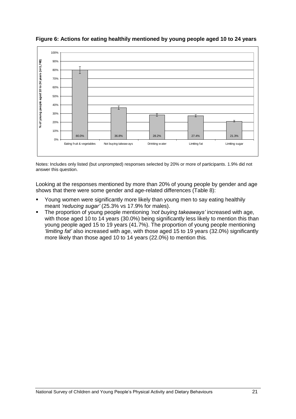

<span id="page-32-0"></span>**Figure 6: Actions for eating healthily mentioned by young people aged 10 to 24 years**

Notes: Includes only listed (but unprompted) responses selected by 20% or more of participants. 1.9% did not answer this question.

Looking at the responses mentioned by more than 20% of young people by gender and age shows that there were some gender and age-related differences (Table 8):

- Young women were significantly more likely than young men to say eating healthily meant *"reducing sugar"* (25.3% vs 17.9% for males).
- The proportion of young people mentioning *"not buying takeaways"* increased with age, with those aged 10 to 14 years (30.0%) being significantly less likely to mention this than young people aged 15 to 19 years (41.7%). The proportion of young people mentioning *"limiting fat"* also increased with age, with those aged 15 to 19 years (32.0%) significantly more likely than those aged 10 to 14 years (22.0%) to mention this*.*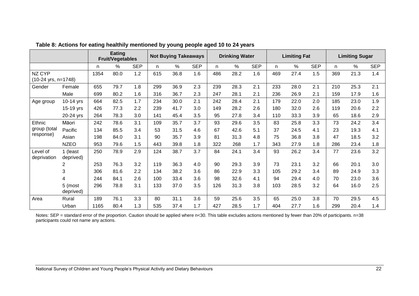|                         |                       | Eating<br><b>Fruit/Vegetables</b> |      | <b>Not Buying Takeaways</b> |     |      | <b>Drinking Water</b> |     |      | <b>Limiting Fat</b> |     |               | <b>Limiting Sugar</b> |     |      |            |
|-------------------------|-----------------------|-----------------------------------|------|-----------------------------|-----|------|-----------------------|-----|------|---------------------|-----|---------------|-----------------------|-----|------|------------|
|                         |                       | n                                 | %    | <b>SEP</b>                  | n   | $\%$ | <b>SEP</b>            | n.  | $\%$ | <b>SEP</b>          | n.  | $\frac{0}{0}$ | <b>SEP</b>            | n.  | $\%$ | <b>SEP</b> |
| NZ CYP                  |                       | 1354                              | 80.0 | 1.2                         | 615 | 36.8 | 1.6                   | 486 | 28.2 | 1.6                 | 469 | 27.4          | 1.5                   | 369 | 21.3 | 1.4        |
| (10-24 yrs, n=1748)     |                       |                                   |      |                             |     |      |                       |     |      |                     |     |               |                       |     |      |            |
| Gender                  | Female                | 655                               | 79.7 | 1.8                         | 299 | 36.9 | 2.3                   | 239 | 28.3 | 2.1                 | 233 | 28.0          | 2.1                   | 210 | 25.3 | 2.1        |
|                         | Male                  | 699                               | 80.2 | 1.6                         | 316 | 36.7 | 2.3                   | 247 | 28.1 | 2.1                 | 236 | 26.9          | 2.1                   | 159 | 17.9 | 1.6        |
| Age group               | $10-14$ yrs           | 664                               | 82.5 | 1.7                         | 234 | 30.0 | 2.1                   | 242 | 28.4 | 2.1                 | 179 | 22.0          | 2.0                   | 185 | 23.0 | 1.9        |
|                         | 15-19 yrs             | 426                               | 77.3 | 2.2                         | 239 | 41.7 | 3.0                   | 149 | 28.2 | 2.6                 | 180 | 32.0          | 2.6                   | 119 | 20.6 | 2.2        |
|                         | 20-24 yrs             | 264                               | 78.3 | 3.0                         | 141 | 45.4 | 3.5                   | 95  | 27.8 | 3.4                 | 110 | 33.3          | 3.9                   | 65  | 18.6 | 2.9        |
| Ethnic                  | Māori                 | 242                               | 78.6 | 3.1                         | 109 | 35.7 | 3.7                   | 93  | 29.6 | 3.5                 | 83  | 25.8          | 3.3                   | 73  | 24.2 | 3.4        |
| group (total            | Pacific               | 134                               | 85.5 | 3.4                         | 53  | 31.5 | 4.6                   | 67  | 42.6 | 5.1                 | 37  | 24.5          | 4.1                   | 23  | 19.3 | 4.1        |
| response)               | Asian                 | 198                               | 84.0 | 3.1                         | 90  | 35.7 | 3.9                   | 81  | 31.3 | 4.8                 | 75  | 36.8          | 3.8                   | 47  | 18.5 | 3.2        |
|                         | <b>NZEO</b>           | 953                               | 79.6 | 1.5                         | 443 | 39.8 | 1.8                   | 322 | 268  | 1.7                 | 343 | 27.9          | 1.8                   | 286 | 23.4 | 1.8        |
| Level of<br>deprivation | 1 (least<br>deprived) | 250                               | 78.9 | 2.9                         | 124 | 38.7 | 3.7                   | 84  | 24.1 | 3.4                 | 93  | 26.2          | 3.4                   | 77  | 23.6 | 3.2        |
|                         | $\overline{2}$        | 253                               | 76.3 | 3.2                         | 119 | 36.3 | 4.0                   | 90  | 29.3 | 3.9                 | 73  | 23.1          | 3.2                   | 66  | 20.1 | 3.0        |
|                         | 3                     | 306                               | 81.6 | 2.2                         | 134 | 38.2 | 3.6                   | 86  | 22.9 | 3.3                 | 105 | 29.2          | 3.4                   | 89  | 24.9 | 3.3        |
|                         | 4                     | 244                               | 84.1 | 2.6                         | 100 | 33.4 | 3.6                   | 98  | 32.6 | 4.1                 | 94  | 29.4          | 4.0                   | 70  | 23.0 | 3.6        |
|                         | 5 (most<br>deprived)  | 296                               | 78.8 | 3.1                         | 133 | 37.0 | 3.5                   | 126 | 31.3 | 3.8                 | 103 | 28.5          | 3.2                   | 64  | 16.0 | 2.5        |
| Area                    | Rural                 | 189                               | 76.1 | 3.3                         | 80  | 31.1 | 3.6                   | 59  | 25.6 | 3.5                 | 65  | 25.0          | 3.8                   | 70  | 29.5 | 4.5        |
|                         | Urban                 | 1165                              | 80.4 | 1.3                         | 535 | 37.4 | 1.7                   | 427 | 28.5 | 1.7                 | 404 | 27.7          | 1.6                   | 299 | 20.4 | 1.4        |

**Table 8: Actions for eating healthily mentioned by young people aged 10 to 24 years**

<span id="page-33-0"></span>Notes: SEP = standard error of the proportion. Caution should be applied where n<30. This table excludes actions mentioned by fewer than 20% of participants. n=38 participants could not name any actions.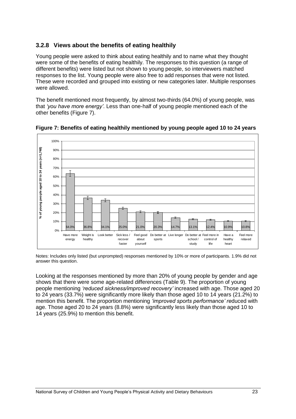#### <span id="page-34-0"></span>**3.2.8 Views about the benefits of eating healthily**

Young people were asked to think about eating healthily and to name what they thought were some of the benefits of eating healthily. The responses to this question (a range of different benefits) were listed but not shown to young people, so interviewers matched responses to the list. Young people were also free to add responses that were not listed. These were recorded and grouped into existing or new categories later. Multiple responses were allowed.

The benefit mentioned most frequently, by almost two-thirds (64.0%) of young people, was that *"you have more energy"*. Less than one-half of young people mentioned each of the other benefits (Figure 7).



<span id="page-34-1"></span>**Figure 7: Benefits of eating healthily mentioned by young people aged 10 to 24 years**

Notes: Includes only listed (but unprompted) responses mentioned by 10% or more of participants. 1.9% did not answer this question.

Looking at the responses mentioned by more than 20% of young people by gender and age shows that there were some age-related differences (Table 9). The proportion of young people mentioning *"reduced sickness/improved recovery"* increased with age. Those aged 20 to 24 years (33.7%) were significantly more likely than those aged 10 to 14 years (21.2%) to mention this benefit. The proportion mentioning *"improved sports performance" re*duced with age. Those aged 20 to 24 years (8.8%) were significantly less likely than those aged 10 to 14 years (25.9%) to mention this benefit.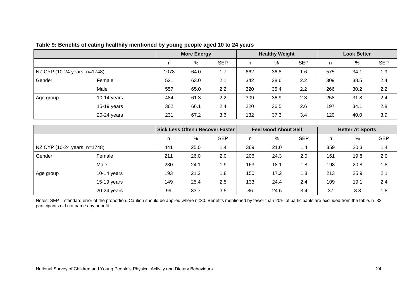|                              |               |      | <b>More Energy</b> |            |     | <b>Healthy Weight</b> |            |     | <b>Look Better</b> |            |
|------------------------------|---------------|------|--------------------|------------|-----|-----------------------|------------|-----|--------------------|------------|
|                              |               | n.   | %                  | <b>SEP</b> | n   | %                     | <b>SEP</b> | n.  | $\%$               | <b>SEP</b> |
| NZ CYP (10-24 years, n=1748) |               | 1078 | 64.0               | 1.7        | 662 | 36.8                  | 1.6        | 575 | 34.1               | 1.9        |
| Gender                       | Female        | 521  | 63.0               | 2.1        | 342 | 38.6                  | 2.2        | 309 | 38.5               | 2.4        |
|                              | Male          | 557  | 65.0               | 2.2        | 320 | 35.4                  | 2.2        | 266 | 30.2               | 2.2        |
| ∣ Age group                  | $10-14$ years | 484  | 61.3               | 2.2        | 309 | 36.9                  | 2.3        | 258 | 31.8               | 2.4        |
|                              | $15-19$ years | 362  | 66.1               | 2.4        | 220 | 36.5                  | 2.6        | 197 | 34.1               | 2.8        |
|                              | $20-24$ years | 231  | 67.2               | 3.6        | 132 | 37.3                  | 3.4        | 120 | 40.0               | 3.9        |

#### **Table 9: Benefits of eating healthily mentioned by young people aged 10 to 24 years**

<span id="page-35-0"></span>

|                              |               |     |      | Sick Less Often / Recover Faster |     | <b>Feel Good About Self</b> |            |     | <b>Better At Sports</b> |            |
|------------------------------|---------------|-----|------|----------------------------------|-----|-----------------------------|------------|-----|-------------------------|------------|
|                              |               |     | %    | <b>SEP</b>                       | n   | %                           | <b>SEP</b> | n.  | %                       | <b>SEP</b> |
| NZ CYP (10-24 years, n=1748) |               | 441 | 25.0 | 1.4                              | 369 | 21.0                        | 1.4        | 359 | 20.3                    | 1.4        |
| Gender                       | Female        | 211 | 26.0 | 2.0                              | 206 | 24.3                        | 2.0        | 161 | 19.8                    | 2.0        |
|                              | Male          | 230 | 24.1 | 1.9                              | 163 | 18.1                        | 1.8        | 198 | 20.8                    | 1.8        |
| Age group                    | 10-14 years   | 193 | 21.2 | 1.8                              | 150 | 17.2                        | 1.8        | 213 | 25.9                    | 2.1        |
|                              | $15-19$ years | 149 | 25.4 | 2.5                              | 133 | 24.4                        | 2.4        | 109 | 19.1                    | 2.4        |
|                              | $20-24$ years | 99  | 33.7 | 3.5                              | 86  | 24.6                        | 3.4        | 37  | 8.8                     | 1.8        |

Notes: SEP = standard error of the proportion. Caution should be applied where n<30. Benefits mentioned by fewer than 20% of participants are excluded from the table. n=32 participants did not name any benefit.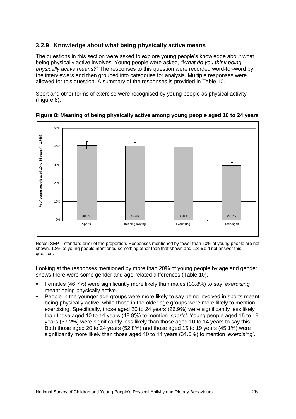## **3.2.9 Knowledge about what being physically active means**

The questions in this section were asked to explore young people's knowledge about what being physically active involves. Young people were asked, *"What do you think being physically active means?"* The responses to this question were recorded word-for-word by the interviewers and then grouped into categories for analysis. Multiple responses were allowed for this question. A summary of the responses is provided in Table 10.

Sport and other forms of exercise were recognised by young people as physical activity (Figure 8).



**Figure 8: Meaning of being physically active among young people aged 10 to 24 years**

Notes: SEP = standard error of the proportion. Responses mentioned by fewer than 20% of young people are not shown. 1.8% of young people mentioned something other than that shown and 1.3% did not answer this question.

Looking at the responses mentioned by more than 20% of young people by age and gender, shows there were some gender and age-related differences (Table 10).

- Females (46.7%) were significantly more likely than males (33.8%) to say *"exercising"* meant being physically active.
- People in the younger age groups were more likely to say being involved in sports meant being physically active, while those in the older age groups were more likely to mention exercising. Specifically, those aged 20 to 24 years (26.9%) were significantly less likely than those aged 10 to 14 years (48.8%) to mention '*sports"*. Young people aged 15 to 19 years (37.2%) were significantly less likely than those aged 10 to 14 years to say this. Both those aged 20 to 24 years (52.8%) and those aged 15 to 19 years (45.1%) were significantly more likely than those aged 10 to 14 years (31.0%) to mention 'exercising'.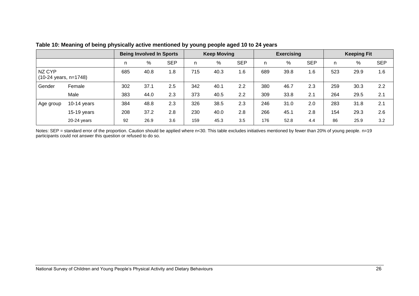|                                 |               | <b>Being Involved In Sports</b> |      |            | <b>Keep Moving</b> |      |            | <b>Exercising</b> |      |            | <b>Keeping Fit</b> |      |            |
|---------------------------------|---------------|---------------------------------|------|------------|--------------------|------|------------|-------------------|------|------------|--------------------|------|------------|
|                                 |               | n                               | %    | <b>SEP</b> | n                  | %    | <b>SEP</b> | n                 | %    | <b>SEP</b> | n                  | %    | <b>SEP</b> |
| NZ CYP<br>(10-24 years, n=1748) |               | 685                             | 40.8 | 1.8        | 715                | 40.3 | 1.6        | 689               | 39.8 | 1.6        | 523                | 29.9 | 1.6        |
| Gender                          | Female        | 302                             | 37.1 | 2.5        | 342                | 40.1 | 2.2        | 380               | 46.7 | 2.3        | 259                | 30.3 | 2.2        |
|                                 | Male          | 383                             | 44.0 | 2.3        | 373                | 40.5 | 2.2        | 309               | 33.8 | 2.1        | 264                | 29.5 | 2.1        |
| Age group                       | $10-14$ years | 384                             | 48.8 | 2.3        | 326                | 38.5 | 2.3        | 246               | 31.0 | 2.0        | 283                | 31.8 | 2.1        |
|                                 | $15-19$ years | 208                             | 37.2 | 2.8        | 230                | 40.0 | 2.8        | 266               | 45.1 | 2.8        | 154                | 29.3 | 2.6        |
|                                 | $20-24$ years | 92                              | 26.9 | 3.6        | 159                | 45.3 | 3.5        | 176               | 52.8 | 4.4        | 86                 | 25.9 | 3.2        |

#### **Table 10: Meaning of being physically active mentioned by young people aged 10 to 24 years**

Notes: SEP = standard error of the proportion. Caution should be applied where n<30. This table excludes initiatives mentioned by fewer than 20% of young people. n=19 participants could not answer this question or refused to do so.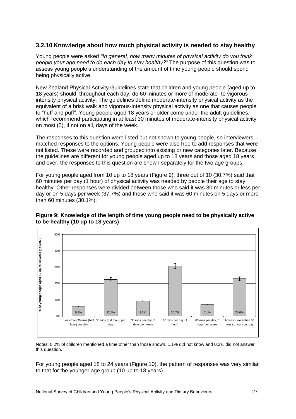### **3.2.10 Knowledge about how much physical activity is needed to stay healthy**

Young people were asked *"In general, how many minutes of physical activity do you think people your age need to do each day to stay healthy?"* The purpose of this question was to assess young people's understanding of the amount of time young people should spend being physically active.

New Zealand Physical Activity Guidelines state that children and young people (aged up to 18 years) should, throughout each day, do 60 minutes or more of moderate- to vigorousintensity physical activity. The guidelines define moderate-intensity physical activity as the equivalent of a brisk walk and vigorous-intensity physical activity as one that causes people to "huff and puff". Young people aged 18 years or older come under the adult guidelines, which recommend participating in at least 30 minutes of moderate-intensity physical activity on most (5), if not on all, days of the week.

The responses to this question were listed but not shown to young people, so interviewers matched responses to the options. Young people were also free to add responses that were not listed. These were recorded and grouped into existing or new categories later. Because the guidelines are different for young people aged up to 18 years and those aged 18 years and over, the responses to this question are shown separately for the two age groups.

For young people aged from 10 up to 18 years (Figure 9), three out of 10 (30.7%) said that 60 minutes per day (1 hour) of physical activity was needed by people their age to stay healthy. Other responses were divided between those who said it was 30 minutes or less per day or on 5 days per week (37.7%) and those who said it was 60 minutes on 5 days or more than 60 minutes (30.1%).

#### **Figure 9: Knowledge of the length of time young people need to be physically active to be healthy (10 up to 18 years)**



Notes: 0.2% of children mentioned a time other than those shown. 1.1% did not know and 0.2% did not answer this question.

For young people aged 18 to 24 years (Figure 10), the pattern of responses was very similar to that for the younger age group (10 up to 18 years).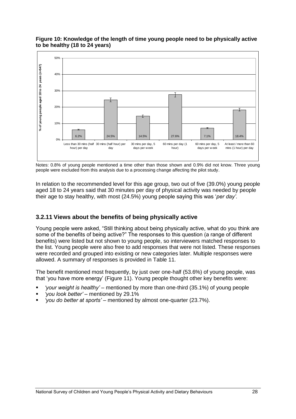

#### **Figure 10: Knowledge of the length of time young people need to be physically active to be healthy (18 to 24 years)**

Notes: 0.8% of young people mentioned a time other than those shown and 0.9% did not know. Three young people were excluded from this analysis due to a processing change affecting the pilot study.

In relation to the recommended level for this age group, two out of five (39.0%) young people aged 18 to 24 years said that 30 minutes per day of physical activity was needed by people their age to stay healthy, with most (24.5%) young people saying this was '*per day*'.

### **3.2.11 Views about the benefits of being physically active**

Young people were asked, "Still thinking about being physically active, what do you think are some of the benefits of being active?" The responses to this question (a range of different benefits) were listed but not shown to young people, so interviewers matched responses to the list. Young people were also free to add responses that were not listed. These responses were recorded and grouped into existing or new categories later. Multiple responses were allowed. A summary of responses is provided in Table 11.

The benefit mentioned most frequently, by just over one-half (53.6%) of young people, was that ‗you have more energy' (Figure 11). Young people thought other key benefits were:

- *"your weight is healthy"*  mentioned by more than one-third (35.1%) of young people
- *"you look better"*  mentioned by 29.1%
- *"you do better at sports" –* mentioned by almost one-quarter (23.7%).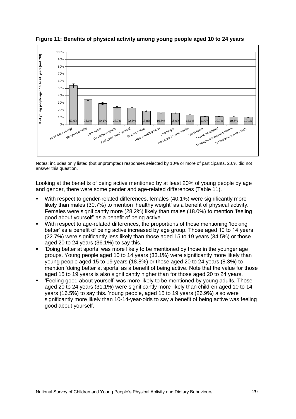

**Figure 11: Benefits of physical activity among young people aged 10 to 24 years**

Notes: includes only listed (but unprompted) responses selected by 10% or more of participants. 2.6% did not answer this question.

Looking at the benefits of being active mentioned by at least 20% of young people by age and gender, there were some gender and age-related differences (Table 11).

- With respect to gender-related differences, females (40.1%) were significantly more likely than males (30.7%) to mention 'healthy weight' as a benefit of physical activity. Females were significantly more (28.2%) likely than males (18.0%) to mention 'feeling good about yourself' as a benefit of being active.
- With respect to age-related differences, the proportions of those mentioning 'looking better' as a benefit of being active increased by age group. Those aged 10 to 14 years (22.7%) were significantly less likely than those aged 15 to 19 years (34.5%) or those aged 20 to 24 years (36.1%) to say this.
- ‗Doing better at sports' was more likely to be mentioned by those in the younger age groups. Young people aged 10 to 14 years (33.1%) were significantly more likely than young people aged 15 to 19 years (18.8%) or those aged 20 to 24 years (8.3%) to mention 'doing better at sports' as a benefit of being active. Note that the value for those aged 15 to 19 years is also significantly higher than for those aged 20 to 24 years.
- ‗Feeling good about yourself' was more likely to be mentioned by young adults*.* Those aged 20 to 24 years (31.1%) were significantly more likely than children aged 10 to 14 years (16.5%) to say this. Young people, aged 15 to 19 years (26.9%) also were significantly more likely than 10-14-year-olds to say a benefit of being active was feeling good about yourself.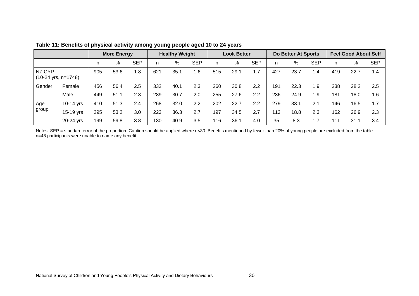|        |                               | <b>More Energy</b> |      | <b>Healthy Weight</b> |     |      | <b>Look Better</b> |     |      | Do Better At Sports |     |      | <b>Feel Good About Self</b> |     |      |            |
|--------|-------------------------------|--------------------|------|-----------------------|-----|------|--------------------|-----|------|---------------------|-----|------|-----------------------------|-----|------|------------|
|        |                               | n                  | %    | <b>SEP</b>            | n.  | %    | <b>SEP</b>         | n   | %    | <b>SEP</b>          | n   | %    | <b>SEP</b>                  | n   | %    | <b>SEP</b> |
| NZ CYP | $(10-24 \text{ yrs}, n=1748)$ | 905                | 53.6 | 1.8                   | 621 | 35.1 | 1.6                | 515 | 29.1 | 1.7                 | 427 | 23.7 | .4                          | 419 | 22.7 | 1.4        |
| Gender | Female                        | 456                | 56.4 | 2.5                   | 332 | 40.1 | 2.3                | 260 | 30.8 | 2.2                 | 191 | 22.3 | 1.9                         | 238 | 28.2 | 2.5        |
|        | Male                          | 449                | 51.1 | 2.3                   | 289 | 30.7 | 2.0                | 255 | 27.6 | 2.2                 | 236 | 24.9 | 1.9                         | 181 | 18.0 | 1.6        |
| Age    | 10-14 yrs                     | 410                | 51.3 | 2.4                   | 268 | 32.0 | 2.2                | 202 | 22.7 | 2.2                 | 279 | 33.1 | 2.1                         | 146 | 16.5 | 1.7        |
| group  | 15-19 yrs                     | 295                | 53.2 | 3.0                   | 223 | 36.3 | 2.7                | 197 | 34.5 | 2.7                 | 113 | 18.8 | 2.3                         | 162 | 26.9 | 2.3        |
|        | 20-24 yrs                     | 199                | 59.8 | 3.8                   | 130 | 40.9 | 3.5                | 116 | 36.1 | 4.0                 | 35  | 8.3  | 1.7                         | 111 | 31.1 | 3.4        |

**Table 11: Benefits of physical activity among young people aged 10 to 24 years**

Notes: SEP = standard error of the proportion. Caution should be applied where n<30. Benefits mentioned by fewer than 20% of young people are excluded from the table. n=48 participants were unable to name any benefit.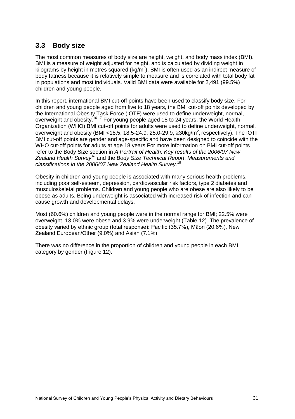# **3.3 Body size**

The most common measures of body size are height, weight, and body mass index (BMI). BMI is a measure of weight adjusted for height, and is calculated by dividing weight in kilograms by height in metres squared (kg/m<sup>2</sup>). BMI is often used as an indirect measure of body fatness because it is relatively simple to measure and is correlated with total body fat in populations and most individuals. Valid BMI data were available for 2,491 (99.5%) children and young people.

In this report, international BMI cut-off points have been used to classify body size. For children and young people aged from five to 18 years, the BMI cut-off points developed by the International Obesity Task Force (IOTF) were used to define underweight, normal, overweight and obesity.<sup>16 17</sup> For young people aged 18 to 24 years, the World Health Organization (WHO) BMI cut-off points for adults were used to define underweight, normal, overweight and obesity (BMI <18.5, 18.5-24.9, 25.0-29.9,  $\geq$ 30kg/m<sup>2</sup>, respectively). The IOTF BMI cut-off points are gender and age-specific and have been designed to coincide with the WHO cut-off points for adults at age 18 years For more information on BMI cut-off points refer to the Body Size section in *A Portrait of Health: Key results of the 2006/07 New Zealand Health Survey<sup>18</sup>* and the *Body Size Technical Report*: *Measurements and classifications in the 2006/07 New Zealand Health Survey*. 19

Obesity in children and young people is associated with many serious health problems, including poor self-esteem, depression, cardiovascular risk factors, type 2 diabetes and musculoskeletal problems. Children and young people who are obese are also likely to be obese as adults. Being underweight is associated with increased risk of infection and can cause growth and developmental delays.

Most (60.6%) children and young people were in the normal range for BMI; 22.5% were overweight, 13.0% were obese and 3.9% were underweight (Table 12). The prevalence of obesity varied by ethnic group (total response): Pacific (35.7%), Māori (20.6%), New Zealand European/Other (9.0%) and Asian (7.1%).

There was no difference in the proportion of children and young people in each BMI category by gender (Figure 12).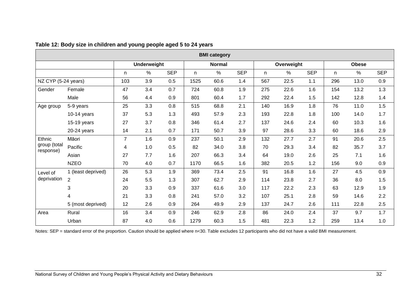|                           | <b>BMI</b> category |                |                    |            |      |               |            |     |            |            |              |              |            |
|---------------------------|---------------------|----------------|--------------------|------------|------|---------------|------------|-----|------------|------------|--------------|--------------|------------|
|                           |                     |                | <b>Underweight</b> |            |      | <b>Normal</b> |            |     | Overweight |            |              | <b>Obese</b> |            |
|                           |                     | n              | %                  | <b>SEP</b> | n    | %             | <b>SEP</b> | n.  | %          | <b>SEP</b> | $\mathsf{n}$ | $\%$         | <b>SEP</b> |
| NZ CYP (5-24 years)       |                     | 103            | 3.9                | 0.5        | 1525 | 60.6          | 1.4        | 567 | 22.5       | 1.1        | 296          | 13.0         | 0.9        |
| Gender                    | Female              | 47             | 3.4                | 0.7        | 724  | 60.8          | 1.9        | 275 | 22.6       | 1.6        | 154          | 13.2         | 1.3        |
|                           | Male                | 56             | 4.4                | 0.9        | 801  | 60.4          | 1.7        | 292 | 22.4       | 1.5        | 142          | 12.8         | 1.4        |
| Age group                 | 5-9 years           | 25             | 3.3                | 0.8        | 515  | 68.8          | 2.1        | 140 | 16.9       | 1.8        | 76           | 11.0         | 1.5        |
|                           | $10-14$ years       | 37             | 5.3                | 1.3        | 493  | 57.9          | 2.3        | 193 | 22.8       | 1.8        | 100          | 14.0         | 1.7        |
|                           | 15-19 years         | 27             | 3.7                | 0.8        | 346  | 61.4          | 2.7        | 137 | 24.6       | 2.4        | 60           | 10.3         | 1.6        |
|                           | 20-24 years         | 14             | 2.1                | 0.7        | 171  | 50.7          | 3.9        | 97  | 28.6       | 3.3        | 60           | 18.6         | 2.9        |
| Ethnic                    | Māori               | $\overline{7}$ | 1.6                | 0.9        | 237  | 50.1          | 2.9        | 132 | 27.7       | 2.7        | 91           | 20.6         | 2.5        |
| group (total<br>response) | Pacific             | 4              | 1.0                | 0.5        | 82   | 34.0          | 3.8        | 70  | 29.3       | 3.4        | 82           | 35.7         | 3.7        |
|                           | Asian               | 27             | 7.7                | 1.6        | 207  | 66.3          | 3.4        | 64  | 19.0       | 2.6        | 25           | 7.1          | 1.6        |
|                           | <b>NZEO</b>         | 70             | 4.0                | 0.7        | 1170 | 66.5          | 1.6        | 382 | 20.5       | 1.2        | 156          | 9.0          | 0.9        |
| Level of                  | 1 (least deprived)  | 26             | 5.3                | 1.9        | 369  | 73.4          | 2.5        | 91  | 16.8       | 1.6        | 27           | 4.5          | 0.9        |
| deprivation               | $\overline{2}$      | 24             | 5.5                | 1.3        | 307  | 62.7          | 2.9        | 114 | 23.8       | 2.7        | 36           | 8.0          | 1.5        |
|                           | 3                   | 20             | 3.3                | 0.9        | 337  | 61.6          | 3.0        | 117 | 22.2       | 2.3        | 63           | 12.9         | 1.9        |
|                           | 4                   | 21             | 3.3                | 0.8        | 241  | 57.0          | 3.2        | 107 | 25.1       | 2.8        | 59           | 14.6         | 2.2        |
|                           | 5 (most deprived)   | 12             | 2.6                | 0.9        | 264  | 49.9          | 2.9        | 137 | 24.7       | 2.6        | 111          | 22.8         | 2.5        |
| Area                      | Rural               | 16             | 3.4                | 0.9        | 246  | 62.9          | 2.8        | 86  | 24.0       | 2.4        | 37           | 9.7          | 1.7        |
|                           | Urban               | 87             | 4.0                | 0.6        | 1279 | 60.3          | 1.5        | 481 | 22.3       | 1.2        | 259          | 13.4         | 1.0        |

**Table 12: Body size in children and young people aged 5 to 24 years**

Notes: SEP = standard error of the proportion. Caution should be applied where n<30. Table excludes 12 participants who did not have a valid BMI measurement.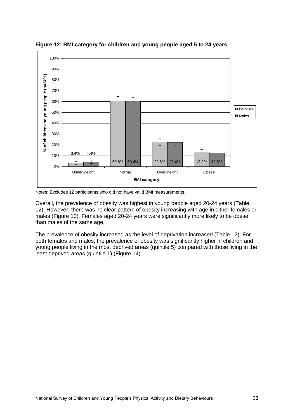

**Figure 12: BMI category for children and young people aged 5 to 24 years**

Notes: Excludes 12 participants who did not have valid BMI measurements.

Overall, the prevalence of obesity was highest in young people aged 20-24 years (Table 12). However, there was no clear pattern of obesity increasing with age in either females or males (Figure 13). Females aged 20-24 years were significantly more likely to be obese than males of the same age.

The prevalence of obesity increased as the level of deprivation increased (Table 12). For both females and males, the prevalence of obesity was significantly higher in children and young people living in the most deprived areas (quintile 5) compared with those living in the least deprived areas (quintile 1) (Figure 14).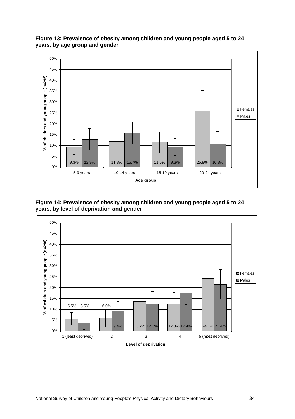

**Figure 13: Prevalence of obesity among children and young people aged 5 to 24 years, by age group and gender**

**Figure 14: Prevalence of obesity among children and young people aged 5 to 24 years, by level of deprivation and gender**

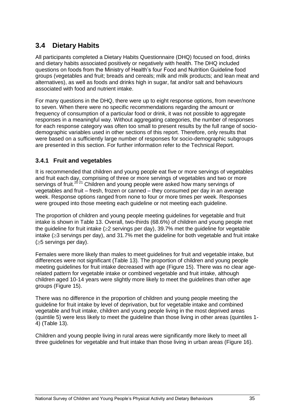# **3.4 Dietary Habits**

All participants completed a Dietary Habits Questionnaire (DHQ) focused on food, drinks and dietary habits associated positively or negatively with health. The DHQ included questions on foods from the Ministry of Health's four Food and Nutrition Guideline food groups (vegetables and fruit; breads and cereals; milk and milk products; and lean meat and alternatives), as well as foods and drinks high in sugar, fat and/or salt and behaviours associated with food and nutrient intake.

For many questions in the DHQ, there were up to eight response options, from never/none to seven. When there were no specific recommendations regarding the amount or frequency of consumption of a particular food or drink, it was not possible to aggregate responses in a meaningful way. Without aggregating categories, the number of responses for each response category was often too small to present results by the full range of sociodemographic variables used in other sections of this report. Therefore, only results that were based on a sufficiently large number of responses for socio-demographic subgroups are presented in this section. For further information refer to the Technical Report.

### **3.4.1 Fruit and vegetables**

It is recommended that children and young people eat five or more servings of vegetables and fruit each day, comprising of three or more servings of vegetables and two or more servings of fruit.<sup>20 21</sup> Children and young people were asked how many servings of vegetables and fruit – fresh, frozen or canned – they consumed per day in an average week. Response options ranged from none to four or more times per week. Responses were grouped into those meeting each guideline or not meeting each guideline.

The proportion of children and young people meeting guidelines for vegetable and fruit intake is shown in Table 13. Overall, two-thirds (68.6%) of children and young people met the quideline for fruit intake  $(\geq 2$  servings per day), 39.7% met the quideline for vegetable intake  $(\geq)$  servings per day), and 31.7% met the guideline for both vegetable and fruit intake  $(\geq 5$  servings per day).

Females were more likely than males to meet guidelines for fruit and vegetable intake, but differences were not significant (Table 13). The proportion of children and young people meeting guidelines for fruit intake decreased with age (Figure 15). There was no clear agerelated pattern for vegetable intake or combined vegetable and fruit intake, although children aged 10-14 years were slightly more likely to meet the guidelines than other age groups (Figure 15).

There was no difference in the proportion of children and young people meeting the guideline for fruit intake by level of deprivation, but for vegetable intake and combined vegetable and fruit intake, children and young people living in the most deprived areas (quintile 5) were less likely to meet the guideline than those living in other areas (quintiles 1- 4) (Table 13).

Children and young people living in rural areas were significantly more likely to meet all three guidelines for vegetable and fruit intake than those living in urban areas (Figure 16).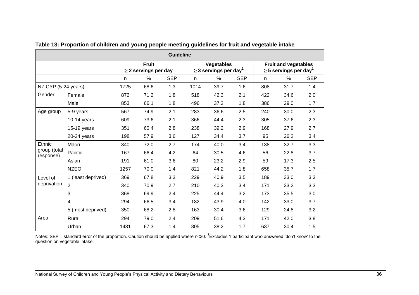|                           | <b>Guideline</b>   |      |                                           |            |      |                                                             |            |                                                                       |      |            |  |  |  |
|---------------------------|--------------------|------|-------------------------------------------|------------|------|-------------------------------------------------------------|------------|-----------------------------------------------------------------------|------|------------|--|--|--|
|                           |                    |      | <b>Fruit</b><br>$\geq$ 2 servings per day |            |      | <b>Vegetables</b><br>$\geq$ 3 servings per day <sup>1</sup> |            | <b>Fruit and vegetables</b><br>$\geq$ 5 servings per day <sup>1</sup> |      |            |  |  |  |
|                           |                    | n    | $\%$                                      | <b>SEP</b> | n    | $\%$                                                        | <b>SEP</b> | n.                                                                    | $\%$ | <b>SEP</b> |  |  |  |
| NZ CYP (5-24 years)       |                    | 1725 | 68.6                                      | 1.3        | 1014 | 39.7                                                        | 1.6        | 808                                                                   | 31.7 | 1.4        |  |  |  |
| Gender                    | Female             | 872  | 71.2                                      | 1.8        | 518  | 42.3                                                        | 2.1        | 422                                                                   | 34.6 | 2.0        |  |  |  |
|                           | Male               | 853  | 66.1                                      | 1.8        | 496  | 37.2                                                        | 1.8        | 386                                                                   | 29.0 | 1.7        |  |  |  |
| Age group                 | 5-9 years          | 567  | 74.9                                      | 2.1        | 283  | 36.6                                                        | 2.5        | 240                                                                   | 30.0 | 2.3        |  |  |  |
|                           | $10-14$ years      | 609  | 73.6                                      | 2.1        | 366  | 44.4                                                        | 2.3        | 305                                                                   | 37.6 | 2.3        |  |  |  |
|                           | 15-19 years        | 351  | 60.4                                      | 2.8        | 238  | 39.2                                                        | 2.9        | 168                                                                   | 27.9 | 2.7        |  |  |  |
|                           | $20-24$ years      | 198  | 57.9                                      | 3.6        | 127  | 34.4                                                        | 3.7        | 95                                                                    | 26.2 | 3.4        |  |  |  |
| Ethnic                    | Māori              | 340  | 72.0                                      | 2.7        | 174  | 40.0                                                        | 3.4        | 138                                                                   | 32.7 | 3.3        |  |  |  |
| group (total<br>response) | Pacific            | 167  | 66.4                                      | 4.2        | 64   | 30.5                                                        | 4.6        | 56                                                                    | 22.8 | 3.7        |  |  |  |
|                           | Asian              | 191  | 61.0                                      | 3.6        | 80   | 23.2                                                        | 2.9        | 59                                                                    | 17.3 | 2.5        |  |  |  |
|                           | <b>NZEO</b>        | 1257 | 70.0                                      | 1.4        | 821  | 44.2                                                        | 1.8        | 658                                                                   | 35.7 | 1.7        |  |  |  |
| Level of                  | 1 (least deprived) | 369  | 67.8                                      | 3.3        | 229  | 40.9                                                        | 3.5        | 189                                                                   | 33.0 | 3.3        |  |  |  |
| deprivation               | $\overline{2}$     | 340  | 70.9                                      | 2.7        | 210  | 40.3                                                        | 3.4        | 171                                                                   | 33.2 | 3.3        |  |  |  |
|                           | 3                  | 368  | 69.9                                      | 2.4        | 225  | 44.4                                                        | 3.2        | 173                                                                   | 35.5 | 3.0        |  |  |  |
|                           | 4                  | 294  | 66.5                                      | 3.4        | 182  | 43.9                                                        | 4.0        | 142                                                                   | 33.0 | 3.7        |  |  |  |
|                           | 5 (most deprived)  | 350  | 68.2                                      | 2.8        | 163  | 30.4                                                        | 3.6        | 129                                                                   | 24.8 | 3.2        |  |  |  |
| Area                      | Rural              | 294  | 79.0                                      | 2.4        | 209  | 51.6                                                        | 4.3        | 171                                                                   | 42.0 | 3.8        |  |  |  |
|                           | Urban              | 1431 | 67.3                                      | 1.4        | 805  | 38.2                                                        | 1.7        | 637                                                                   | 30.4 | 1.5        |  |  |  |

**Table 13: Proportion of children and young people meeting guidelines for fruit and vegetable intake** 

Notes: SEP = standard error of the proportion. Caution should be applied where n<30. <sup>1</sup>Excludes 1 participant who answered 'don't know' to the question on vegetable intake.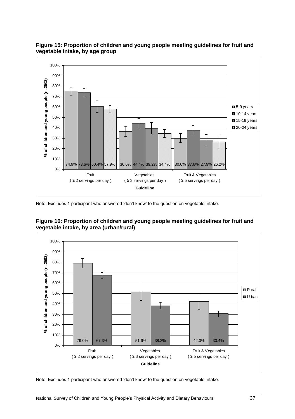

### **Figure 15: Proportion of children and young people meeting guidelines for fruit and vegetable intake, by age group**

Note: Excludes 1 participant who answered 'don't know' to the question on vegetable intake.





Note: Excludes 1 participant who answered 'don't know' to the question on vegetable intake.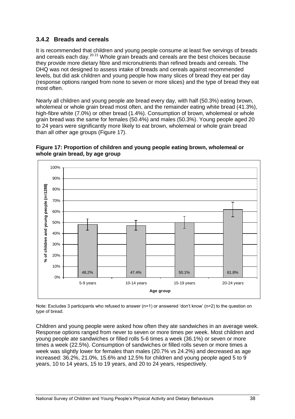### **3.4.2 Breads and cereals**

It is recommended that children and young people consume at least five servings of breads and cereals each day.<sup>20,21</sup> Whole grain breads and cereals are the best choices because they provide more dietary fibre and micronutrients than refined breads and cereals. The DHQ was not designed to assess intake of breads and cereals against recommended levels, but did ask children and young people how many slices of bread they eat per day (response options ranged from none to seven or more slices) and the type of bread they eat most often.

Nearly all children and young people ate bread every day, with half (50.3%) eating brown, wholemeal or whole grain bread most often, and the remainder eating white bread (41.3%), high-fibre white (7.0%) or other bread (1.4%). Consumption of brown, wholemeal or whole grain bread was the same for females (50.4%) and males (50.3%). Young people aged 20 to 24 years were significantly more likely to eat brown, wholemeal or whole grain bread than all other age groups (Figure 17).





Note: Excludes 3 participants who refused to answer (n=1) or answered 'don't know' (n=2) to the question on type of bread.

Children and young people were asked how often they ate sandwiches in an average week. Response options ranged from never to seven or more times per week. Most children and young people ate sandwiches or filled rolls 5-6 times a week (36.1%) or seven or more times a week (22.5%). Consumption of sandwiches or filled rolls seven or more times a week was slightly lower for females than males (20.7% vs 24.2%) and decreased as age increased: 36.2%, 21.0%, 15.6% and 12.5% for children and young people aged 5 to 9 years, 10 to 14 years, 15 to 19 years, and 20 to 24 years, respectively.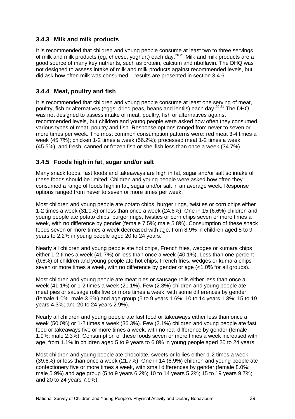### **3.4.3 Milk and milk products**

It is recommended that children and young people consume at least two to three servings of milk and milk products (eg, cheese, yoghurt) each day.<sup>2021</sup> Milk and milk products are a good source of many key nutrients, such as protein, calcium and riboflavin. The DHQ was not designed to assess intake of milk and milk products against recommended levels, but did ask how often milk was consumed – results are presented in section 3.4.6.

### **3.4.4 Meat, poultry and fish**

It is recommended that children and young people consume at least one serving of meat, poultry, fish or alternatives (eggs, dried peas, beans and lentils) each day.<sup>2021</sup> The DHQ was not designed to assess intake of meat, poultry, fish or alternatives against recommended levels, but children and young people were asked how often they consumed various types of meat, poultry and fish. Response options ranged from never to seven or more times per week. The most common consumption patterns were: red meat 3-4 times a week (45.7%); chicken 1-2 times a week (56.2%); processed meat 1-2 times a week (45.5%); and fresh, canned or frozen fish or shellfish less than once a week (34.7%).

### **3.4.5 Foods high in fat, sugar and/or salt**

Many snack foods, fast foods and takeaways are high in fat, sugar and/or salt so intake of these foods should be limited. Children and young people were asked how often they consumed a range of foods high in fat, sugar and/or salt in an average week. Response options ranged from never to seven or more times per week.

Most children and young people ate potato chips, burger rings, twisties or corn chips either 1-2 times a week (31.0%) or less than once a week (24.6%). One in 15 (6.6%) children and young people ate potato chips, burger rings, twisties or corn chips seven or more times a week, with no difference by gender (female 7.5%; male 5.8%). Consumption of these snack foods seven or more times a week decreased with age, from 8.9% in children aged 5 to 9 years to 2.2% in young people aged 20 to 24 years.

Nearly all children and young people ate hot chips, French fries, wedges or kumara chips either 1-2 times a week (41.7%) or less than once a week (40.1%). Less than one percent (0.6%) of children and young people ate hot chips, French fries, wedges or kumara chips seven or more times a week, with no difference by gender or age (<1.0% for all groups).

Most children and young people ate meat pies or sausage rolls either less than once a week (41.1%) or 1-2 times a week (21.1%). Few (2.3%) children and young people ate meat pies or sausage rolls five or more times a week, with some differences by gender (female 1.0%, male 3.6%) and age group (5 to 9 years 1.6%; 10 to 14 years 1.3%; 15 to 19 years 4.3%; and 20 to 24 years 2.9%).

Nearly all children and young people ate fast food or takeaways either less than once a week (50.0%) or 1-2 times a week (36.3%). Few (2.1%) children and young people ate fast food or takeaways five or more times a week, with no real difference by gender (female 1.9%; male 2.3%). Consumption of these foods seven or more times a week increased with age, from 1.1% in children aged 5 to 9 years to 6.8% in young people aged 20 to 24 years.

Most children and young people ate chocolate, sweets or lollies either 1-2 times a week (39.6%) or less than once a week (21.7%). One in 14 (6.9%) children and young people ate confectionery five or more times a week, with small differences by gender (female 8.0%; male 5.9%) and age group (5 to 9 years 6.2%; 10 to 14 years 5.2%; 15 to 19 years 9.7%; and 20 to 24 years 7.9%).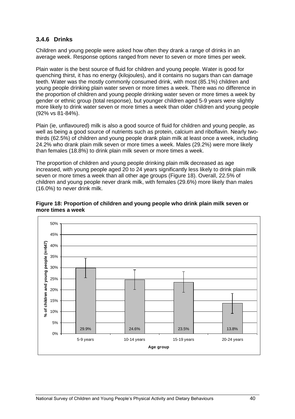### **3.4.6 Drinks**

Children and young people were asked how often they drank a range of drinks in an average week. Response options ranged from never to seven or more times per week.

Plain water is the best source of fluid for children and young people. Water is good for quenching thirst, it has no energy (kilojoules), and it contains no sugars than can damage teeth. Water was the mostly commonly consumed drink, with most (85.1%) children and young people drinking plain water seven or more times a week. There was no difference in the proportion of children and young people drinking water seven or more times a week by gender or ethnic group (total response), but younger children aged 5-9 years were slightly more likely to drink water seven or more times a week than older children and young people (92% vs 81-84%).

Plain (ie, unflavoured) milk is also a good source of fluid for children and young people, as well as being a good source of nutrients such as protein, calcium and riboflavin. Nearly twothirds (62.5%) of children and young people drank plain milk at least once a week, including 24.2% who drank plain milk seven or more times a week. Males (29.2%) were more likely than females (18.8%) to drink plain milk seven or more times a week.

The proportion of children and young people drinking plain milk decreased as age increased, with young people aged 20 to 24 years significantly less likely to drink plain milk seven or more times a week than all other age groups (Figure 18). Overall, 22.5% of children and young people never drank milk, with females (29.6%) more likely than males (16.0%) to never drink milk.



**Figure 18: Proportion of children and young people who drink plain milk seven or more times a week**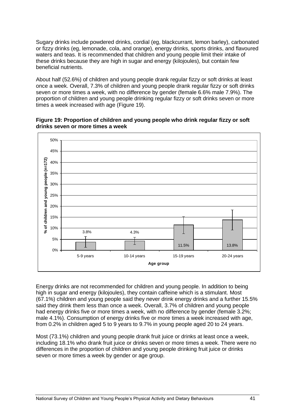Sugary drinks include powdered drinks, cordial (eg, blackcurrant, lemon barley), carbonated or fizzy drinks (eg, lemonade, cola, and orange), energy drinks, sports drinks, and flavoured waters and teas. It is recommended that children and young people limit their intake of these drinks because they are high in sugar and energy (kilojoules), but contain few beneficial nutrients.

About half (52.6%) of children and young people drank regular fizzy or soft drinks at least once a week. Overall, 7.3% of children and young people drank regular fizzy or soft drinks seven or more times a week, with no difference by gender (female 6.6% male 7.9%). The proportion of children and young people drinking regular fizzy or soft drinks seven or more times a week increased with age (Figure 19).





Energy drinks are not recommended for children and young people. In addition to being high in sugar and energy (kilojoules), they contain caffeine which is a stimulant. Most (67.1%) children and young people said they never drink energy drinks and a further 15.5% said they drink them less than once a week. Overall, 3.7% of children and young people had energy drinks five or more times a week, with no difference by gender (female 3.2%; male 4.1%). Consumption of energy drinks five or more times a week increased with age, from 0.2% in children aged 5 to 9 years to 9.7% in young people aged 20 to 24 years.

Most (73.1%) children and young people drank fruit juice or drinks at least once a week, including 18.1% who drank fruit juice or drinks seven or more times a week. There were no differences in the proportion of children and young people drinking fruit juice or drinks seven or more times a week by gender or age group.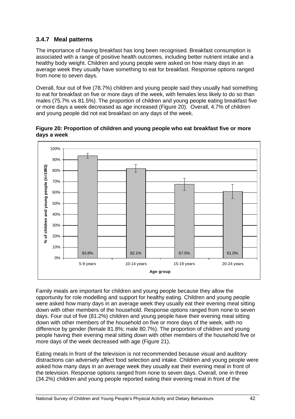## **3.4.7 Meal patterns**

The importance of having breakfast has long been recognised. Breakfast consumption is associated with a range of positive health outcomes, including better nutrient intake and a healthy body weight. Children and young people were asked on how many days in an average week they usually have something to eat for breakfast. Response options ranged from none to seven days.

Overall, four out of five (78.7%) children and young people said they usually had something to eat for breakfast on five or more days of the week, with females less likely to do so than males (75.7% vs 81.5%). The proportion of children and young people eating breakfast five or more days a week decreased as age increased (Figure 20). Overall, 4.7% of children and young people did not eat breakfast on any days of the week.



**Figure 20: Proportion of children and young people who eat breakfast five or more days a week**

Family meals are important for children and young people because they allow the opportunity for role modelling and support for healthy eating. Children and young people were asked how many days in an average week they usually eat their evening meal sitting down with other members of the household. Response options ranged from none to seven days. Four out of five (81.2%) children and young people have their evening meal sitting down with other members of the household on five or more days of the week, with no difference by gender (female 81.8%; male 80.7%). The proportion of children and young people having their evening meal sitting down with other members of the household five or more days of the week decreased with age (Figure 21).

Eating meals in front of the television is not recommended because visual and auditory distractions can adversely affect food selection and intake. Children and young people were asked how many days in an average week they usually eat their evening meal in front of the television. Response options ranged from none to seven days. Overall, one in three (34.2%) children and young people reported eating their evening meal in front of the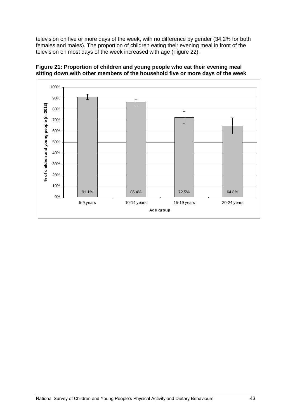television on five or more days of the week, with no difference by gender (34.2% for both females and males). The proportion of children eating their evening meal in front of the television on most days of the week increased with age (Figure 22).



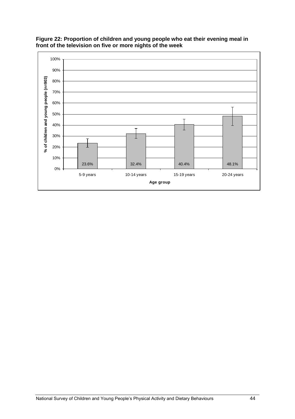

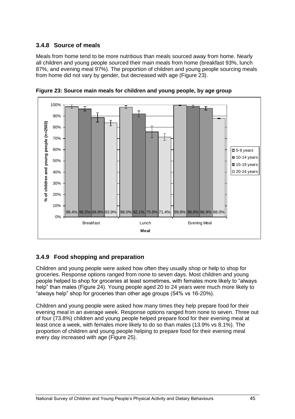# **3.4.8 Source of meals**

Meals from home tend to be more nutritious than meals sourced away from home. Nearly all children and young people sourced their main meals from home (breakfast 93%, lunch 87%, and evening meal 97%). The proportion of children and young people sourcing meals from home did not vary by gender, but decreased with age (Figure 23).



**Figure 23: Source main meals for children and young people, by age group**

# **3.4.9 Food shopping and preparation**

Children and young people were asked how often they usually shop or help to shop for groceries. Response options ranged from none to seven days. Most children and young people helped to shop for groceries at least sometimes, with females more likely to "always" help" than males (Figure 24). Young people aged 20 to 24 years were much more likely to "always help" shop for groceries than other age groups (54% vs 16-20%).

Children and young people were asked how many times they help prepare food for their evening meal in an average week. Response options ranged from none to seven. Three out of four (73.8%) children and young people helped prepare food for their evening meal at least once a week, with females more likely to do so than males (13.9% vs 8.1%). The proportion of children and young people helping to prepare food for their evening meal every day increased with age (Figure 25).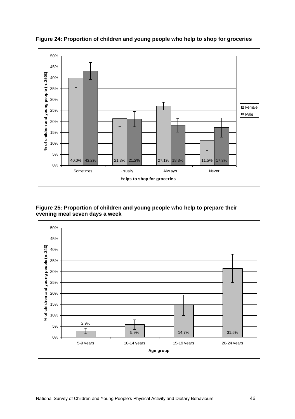

**Figure 24: Proportion of children and young people who help to shop for groceries**

#### **Figure 25: Proportion of children and young people who help to prepare their evening meal seven days a week**

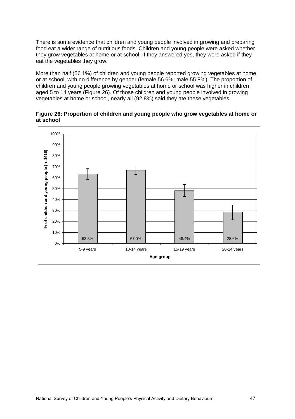There is some evidence that children and young people involved in growing and preparing food eat a wider range of nutritious foods. Children and young people were asked whether they grow vegetables at home or at school. If they answered yes, they were asked if they eat the vegetables they grow.

More than half (56.1%) of children and young people reported growing vegetables at home or at school, with no difference by gender (female 56.6%; male 55.8%). The proportion of children and young people growing vegetables at home or school was higher in children aged 5 to 14 years (Figure 26). Of those children and young people involved in growing vegetables at home or school, nearly all (92.8%) said they ate these vegetables.

**Figure 26: Proportion of children and young people who grow vegetables at home or at school**

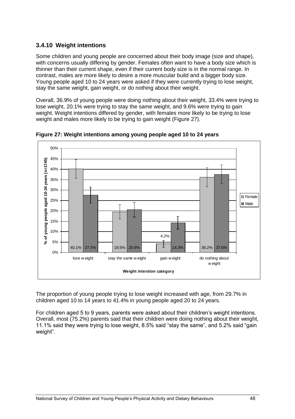## **3.4.10 Weight intentions**

Some children and young people are concerned about their body image (size and shape), with concerns usually differing by gender. Females often want to have a body size which is thinner than their current shape, even if their current body size is in the normal range. In contrast, males are more likely to desire a more muscular build and a bigger body size. Young people aged 10 to 24 years were asked if they were currently trying to lose weight, stay the same weight, gain weight, or do nothing about their weight.

Overall, 36.9% of young people were doing nothing about their weight, 33.4% were trying to lose weight, 20.1% were trying to stay the same weight, and 9.6% were trying to gain weight. Weight intentions differed by gender, with females more likely to be trying to lose weight and males more likely to be trying to gain weight (Figure 27).



**Figure 27: Weight intentions among young people aged 10 to 24 years**

The proportion of young people trying to lose weight increased with age, from 29.7% in children aged 10 to 14 years to 41.4% in young people aged 20 to 24 years.

For children aged 5 to 9 years, parents were asked about their children's weight intentions. Overall, most (75.2%) parents said that their children were doing nothing about their weight, 11.1% said they were trying to lose weight, 8.5% said "stay the same", and 5.2% said "gain weight".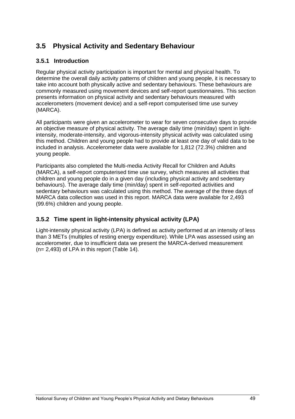# **3.5 Physical Activity and Sedentary Behaviour**

### **3.5.1 Introduction**

Regular physical activity participation is important for mental and physical health. To determine the overall daily activity patterns of children and young people, it is necessary to take into account both physically active and sedentary behaviours. These behaviours are commonly measured using movement devices and self-report questionnaires. This section presents information on physical activity and sedentary behaviours measured with accelerometers (movement device) and a self-report computerised time use survey (MARCA).

All participants were given an accelerometer to wear for seven consecutive days to provide an objective measure of physical activity. The average daily time (min/day) spent in lightintensity, moderate-intensity, and vigorous-intensity physical activity was calculated using this method. Children and young people had to provide at least one day of valid data to be included in analysis. Accelerometer data were available for 1,812 (72.3%) children and young people.

Participants also completed the Multi-media Activity Recall for Children and Adults (MARCA), a self-report computerised time use survey, which measures all activities that children and young people do in a given day (including physical activity and sedentary behaviours). The average daily time (min/day) spent in self-reported activities and sedentary behaviours was calculated using this method. The average of the three days of MARCA data collection was used in this report. MARCA data were available for 2,493 (99.6%) children and young people.

### **3.5.2 Time spent in light-intensity physical activity (LPA)**

Light-intensity physical activity (LPA) is defined as activity performed at an intensity of less than 3 METs (multiples of resting energy expenditure). While LPA was assessed using an accelerometer, due to insufficient data we present the MARCA-derived measurement (n= 2,493) of LPA in this report (Table 14).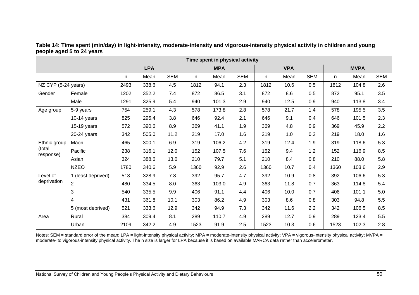| Time spent in physical activity |                    |      |            |            |      |            |            |      |            |            |      |             |            |
|---------------------------------|--------------------|------|------------|------------|------|------------|------------|------|------------|------------|------|-------------|------------|
|                                 |                    |      | <b>LPA</b> |            |      | <b>MPA</b> |            |      | <b>VPA</b> |            |      | <b>MVPA</b> |            |
|                                 |                    | n.   | Mean       | <b>SEM</b> | n    | Mean       | <b>SEM</b> | n    | Mean       | <b>SEM</b> | n    | Mean        | <b>SEM</b> |
| NZ CYP (5-24 years)             |                    | 2493 | 338.6      | 4.5        | 1812 | 94.1       | 2.3        | 1812 | 10.6       | 0.5        | 1812 | 104.8       | 2.6        |
| Gender                          | Female             | 1202 | 352.2      | 7.4        | 872  | 86.5       | 3.1        | 872  | 8.6        | 0.5        | 872  | 95.1        | 3.5        |
|                                 | Male               | 1291 | 325.9      | 5.4        | 940  | 101.3      | 2.9        | 940  | 12.5       | 0.9        | 940  | 113.8       | 3.4        |
| Age group                       | 5-9 years          | 754  | 259.1      | 4.3        | 578  | 173.8      | 2.8        | 578  | 21.7       | 1.4        | 578  | 195.5       | 3.5        |
|                                 | $10-14$ years      | 825  | 295.4      | 3.8        | 646  | 92.4       | 2.1        | 646  | 9.1        | 0.4        | 646  | 101.5       | 2.3        |
|                                 | 15-19 years        | 572  | 390.6      | 8.9        | 369  | 41.1       | 1.9        | 369  | 4.8        | 0.9        | 369  | 45.9        | 2.2        |
|                                 | 20-24 years        | 342  | 505.0      | 11.2       | 219  | 17.0       | 1.6        | 219  | 1.0        | 0.2        | 219  | 18.0        | 1.6        |
| Ethnic group                    | Māori              | 465  | 300.1      | 6.9        | 319  | 106.2      | 4.2        | 319  | 12.4       | 1.9        | 319  | 118.6       | 5.3        |
| (total<br>response)             | Pacific            | 238  | 316.1      | 12.0       | 152  | 107.5      | 7.6        | 152  | 9.4        | 1.2        | 152  | 116.9       | 8.5        |
|                                 | Asian              | 324  | 388.6      | 13.0       | 210  | 79.7       | 5.1        | 210  | 8.4        | 0.8        | 210  | 88.0        | 5.8        |
|                                 | <b>NZEO</b>        | 1780 | 340.6      | 5.9        | 1360 | 92.9       | 2.6        | 1360 | 10.7       | 0.4        | 1360 | 103.6       | 2.9        |
| Level of                        | 1 (least deprived) | 513  | 328.9      | 7.8        | 392  | 95.7       | 4.7        | 392  | 10.9       | 0.8        | 392  | 106.6       | 5.3        |
| deprivation                     | $\overline{2}$     | 480  | 334.5      | 8.0        | 363  | 103.0      | 4.9        | 363  | 11.8       | 0.7        | 363  | 114.8       | 5.4        |
|                                 | 3                  | 540  | 335.5      | 9.9        | 406  | 91.1       | 4.4        | 406  | 10.0       | 0.7        | 406  | 101.1       | 5.0        |
|                                 | 4                  | 431  | 361.8      | 10.1       | 303  | 86.2       | 4.9        | 303  | 8.6        | 0.8        | 303  | 94.8        | 5.5        |
|                                 | 5 (most deprived)  | 521  | 333.6      | 12.9       | 342  | 94.9       | 7.3        | 342  | 11.6       | 2.2        | 342  | 106.5       | 8.5        |
| Area                            | Rural              | 384  | 309.4      | 8.1        | 289  | 110.7      | 4.9        | 289  | 12.7       | 0.9        | 289  | 123.4       | 5.5        |
|                                 | Urban              | 2109 | 342.2      | 4.9        | 1523 | 91.9       | 2.5        | 1523 | 10.3       | 0.6        | 1523 | 102.3       | 2.8        |

**Table 14: Time spent (min/day) in light-intensity, moderate-intensity and vigorous-intensity physical activity in children and young people aged 5 to 24 years** 

Notes: SEM = standard error of the mean; LPA = light-intensity physical activity; MPA = moderate-intensity physical activity; VPA = vigorous-intensity physical activity; MVPA = moderate- to vigorous-intensity physical activity. The n size is larger for LPA because it is based on available MARCA data rather than accelerometer.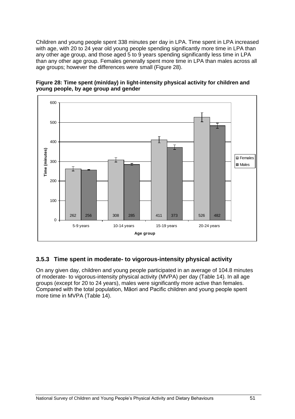Children and young people spent 338 minutes per day in LPA. Time spent in LPA increased with age, with 20 to 24 year old young people spending significantly more time in LPA than any other age group, and those aged 5 to 9 years spending significantly less time in LPA than any other age group. Females generally spent more time in LPA than males across all age groups; however the differences were small (Figure 28).



**Figure 28: Time spent (min/day) in light-intensity physical activity for children and young people, by age group and gender**

# **3.5.3 Time spent in moderate- to vigorous-intensity physical activity**

On any given day, children and young people participated in an average of 104.8 minutes of moderate- to vigorous-intensity physical activity (MVPA) per day (Table 14). In all age groups (except for 20 to 24 years), males were significantly more active than females. Compared with the total population, Māori and Pacific children and young people spent more time in MVPA (Table 14).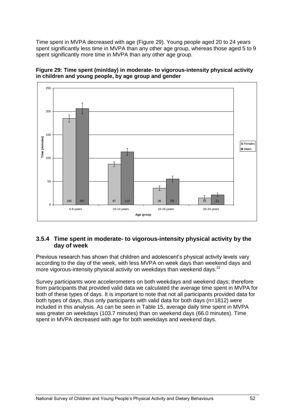Time spent in MVPA decreased with age (Figure 29). Young people aged 20 to 24 years spent significantly less time in MVPA than any other age group, whereas those aged 5 to 9 spent significantly more time in MVPA than any other age group.





#### **3.5.4 Time spent in moderate- to vigorous-intensity physical activity by the day of week**

Previous research has shown that children and adolescent's physical activity levels vary according to the day of the week, with less MVPA on week days than weekend days and more vigorous-intensity physical activity on weekdays than weekend days.<sup>22</sup>

Survey participants wore accelerometers on both weekdays and weekend days; therefore from participants that provided valid data we calculated the average time spent in MVPA for both of these types of days. It is important to note that not all participants provided data for both types of days, thus only participants with valid data for both days (n=1812) were included in this analysis. As can be seen in Table 15, average daily time spent in MVPA was greater on weekdays (103.7 minutes) than on weekend days (66.0 minutes). Time spent in MVPA decreased with age for both weekdays and weekend days.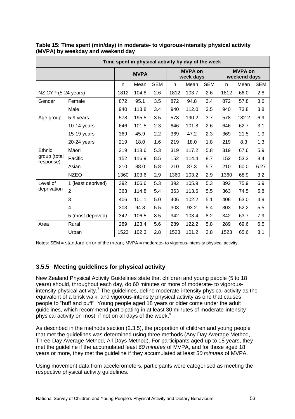| Time spent in physical activity by day of the week |                     |      |             |            |      |                             |            |      |                                |            |  |  |
|----------------------------------------------------|---------------------|------|-------------|------------|------|-----------------------------|------------|------|--------------------------------|------------|--|--|
|                                                    |                     |      | <b>MVPA</b> |            |      | <b>MVPA on</b><br>week days |            |      | <b>MVPA on</b><br>weekend days |            |  |  |
|                                                    |                     | n    | Mean        | <b>SEM</b> | n    | Mean                        | <b>SEM</b> | n    | Mean                           | <b>SEM</b> |  |  |
|                                                    | NZ CYP (5-24 years) |      |             | 2.6        | 1812 | 103.7                       | 2.6        | 1812 | 66.0                           | 2.8        |  |  |
| Gender                                             | Female              | 872  | 95.1        | 3.5        | 872  | 94.8                        | 3.4        | 872  | 57.8                           | 3.6        |  |  |
|                                                    | Male                | 940  | 113.8       | 3.4        | 940  | 112.0                       | 3.5        | 940  | 73.8                           | 3.8        |  |  |
| Age group                                          | 5-9 years           | 578  | 195.5       | 3.5        | 578  | 190.2                       | 3.7        | 578  | 132.2                          | 6.9        |  |  |
|                                                    | $10-14$ years       | 646  | 101.5       | 2.3        | 646  | 101.8                       | 2.6        | 646  | 62.7                           | 3.1        |  |  |
|                                                    | $15-19$ years       | 369  | 45.9        | 2.2        | 369  | 47.2                        | 2.3        | 369  | 21.5                           | 1.9        |  |  |
|                                                    | $20-24$ years       | 219  | 18.0        | 1.6        | 219  | 18.0                        | 1.8        | 219  | 8.3                            | 1.3        |  |  |
| Ethnic                                             | Māori               | 319  | 118.6       | 5.3        | 319  | 117.2                       | 5.8        | 319  | 67.6                           | 5.9        |  |  |
| group (total<br>response)                          | Pacific             | 152  | 116.9       | 8.5        | 152  | 114.4                       | 8.7        | 152  | 53.3                           | 8.4        |  |  |
|                                                    | Asian               | 210  | 88.0        | 5.8        | 210  | 87.3                        | 5.7        | 210  | 60.0                           | 6.27       |  |  |
|                                                    | <b>NZEO</b>         | 1360 | 103.6       | 2.9        | 1360 | 103.2                       | 2.9        | 1360 | 68.9                           | 3.2        |  |  |
| Level of                                           | 1 (least deprived)  | 392  | 106.6       | 5.3        | 392  | 105.9                       | 5.3        | 392  | 75.9                           | 6.9        |  |  |
| deprivation                                        | $\overline{2}$      | 363  | 114.8       | 5.4        | 363  | 113.6                       | 5.5        | 363  | 74.5                           | 5.8        |  |  |
|                                                    | 3                   | 406  | 101.1       | 5.0        | 406  | 102.2                       | 5.1        | 406  | 63.0                           | 4.9        |  |  |
|                                                    | 4                   | 303  | 94.8        | 5.5        | 303  | 93.2                        | 5.4        | 303  | 52.2                           | 5.5        |  |  |
|                                                    | 5 (most deprived)   | 342  | 106.5       | 8.5        | 342  | 103.4                       | 8.2        | 342  | 63.7                           | 7.9        |  |  |
| Area                                               | Rural               | 289  | 123.4       | 5.6        | 289  | 122.2                       | 5.8        | 289  | 69.6                           | 6.5        |  |  |
|                                                    | Urban               | 1523 | 102.3       | 2.8        | 1523 | 101.2                       | 2.8        | 1523 | 65.6                           | 3.1        |  |  |

**Table 15: Time spent (min/day) in moderate- to vigorous-intensity physical activity (MVPA) by weekday and weekend day** 

Notes: SEM = standard error of the mean; MVPA = moderate- to vigorous-intensity physical activity.

### **3.5.5 Meeting guidelines for physical activity**

New Zealand Physical Activity Guidelines state that children and young people (5 to 18 years) should, throughout each day, do 60 minutes or more of moderate- to vigorousintensity physical activity. <sup>7</sup> The guidelines, define moderate-intensity physical activity as the equivalent of a brisk walk, and vigorous-intensity physical activity as one that causes people to "huff and puff". Young people aged 18 years or older come under the adult guidelines, which recommend participating in at least 30 minutes of moderate-intensity physical activity on most, if not on all days of the week[.](http://www.activenzsurvey.org.nz/Results/2007-08-Active-NZ-Survey/National-Report/Physical-Activity/#_ftn9)<sup>9</sup>

As described in the methods section (2.3.5), the proportion of children and young people that met the guidelines was determined using three methods (Any Day Average Method, Three-Day Average Method, All Days Method). For participants aged up to 18 years, they met the guideline if the accumulated least *60 minutes* of MVPA, and for those aged 18 years or more, they met the guideline if they accumulated at least *30 minutes* of MVPA.

Using movement data from accelerometers, participants were categorised as meeting the respective physical activity guidelines.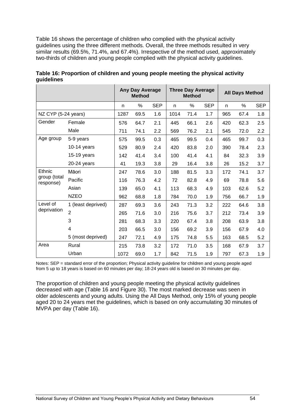Table 16 shows the percentage of children who complied with the physical activity guidelines using the three different methods. Overall, the three methods resulted in very similar results (69.5%, 71.4%, and 67.4%). Irrespective of the method used, approximately two-thirds of children and young people complied with the physical activity guidelines.

|                           |                    | Any Day Average<br><b>Method</b> |      |            | <b>Three Day Average</b><br><b>Method</b> |      | <b>All Days Method</b> |     |      |            |
|---------------------------|--------------------|----------------------------------|------|------------|-------------------------------------------|------|------------------------|-----|------|------------|
|                           |                    | n                                | $\%$ | <b>SEP</b> | n                                         | %    | <b>SEP</b>             | n   | $\%$ | <b>SEP</b> |
| NZ CYP (5-24 years)       |                    | 1287                             | 69.5 | 1.6        | 1014                                      | 71.4 | 1.7                    | 965 | 67.4 | 1.8        |
| Gender                    | Female             |                                  | 64.7 | 2.1        | 445                                       | 66.1 | 2.6                    | 420 | 62.3 | 2.5        |
|                           | Male               | 711                              | 74.1 | 2.2        | 569                                       | 76.2 | 2.1                    | 545 | 72.0 | 2.2        |
| Age group                 | 5-9 years          | 575                              | 99.5 | 0.3        | 465                                       | 99.5 | 0.4                    | 465 | 99.7 | 0.3        |
|                           | $10-14$ years      | 529                              | 80.9 | 2.4        | 420                                       | 83.8 | 2.0                    | 390 | 78.4 | 2.3        |
|                           | 15-19 years        | 142                              | 41.4 | 3.4        | 100                                       | 41.4 | 4.1                    | 84  | 32.3 | 3.9        |
|                           | 20-24 years        | 41                               | 19.3 | 3.8        | 29                                        | 16.4 | 3.8                    | 26  | 15.2 | 3.7        |
| Ethnic                    | Māori              | 247                              | 78.6 | 3.0        | 188                                       | 81.5 | 3.3                    | 172 | 74.1 | 3.7        |
| group (total<br>response) | Pacific            | 116                              | 76.3 | 4.2        | 72                                        | 82.8 | 4.9                    | 69  | 78.8 | 5.6        |
|                           | Asian              | 139                              | 65.0 | 4.1        | 113                                       | 68.3 | 4.9                    | 103 | 62.6 | 5.2        |
|                           | <b>NZEO</b>        | 962                              | 68.8 | 1.8        | 784                                       | 70.0 | 1.9                    | 756 | 66.7 | 1.9        |
| Level of                  | 1 (least deprived) | 287                              | 69.3 | 3.6        | 243                                       | 71.3 | 3.2                    | 222 | 64.6 | 3.8        |
| deprivation               | $\overline{2}$     | 265                              | 71.6 | 3.0        | 216                                       | 75.6 | 3.7                    | 212 | 73.4 | 3.9        |
|                           | 3                  | 281                              | 68.3 | 3.3        | 220                                       | 67.4 | 3.8                    | 208 | 63.9 | 3.8        |
|                           | 4                  | 203                              | 66.5 | 3.0        | 156                                       | 69.2 | 3.9                    | 156 | 67.9 | 4.0        |
|                           | 5 (most deprived)  | 247                              | 72.1 | 4.9        | 175                                       | 74.8 | 5.5                    | 163 | 68.5 | 5.2        |
| Area                      | Rural              | 215                              | 73.8 | 3.2        | 172                                       | 71.0 | 3.5                    | 168 | 67.9 | 3.7        |
|                           | Urban              | 1072                             | 69.0 | 1.7        | 842                                       | 71.5 | 1.9                    | 797 | 67.3 | 1.9        |

| Table 16: Proportion of children and young people meeting the physical activity |  |
|---------------------------------------------------------------------------------|--|
| guidelines                                                                      |  |

Notes: SEP = standard error of the proportion; Physical activity guideline for children and young people aged from 5 up to 18 years is based on 60 minutes per day; 18-24 years old is based on 30 minutes per day.

The proportion of children and young people meeting the physical activity guidelines decreased with age (Table 16 and Figure 30). The most marked decrease was seen in older adolescents and young adults. Using the All Days Method, only 15% of young people aged 20 to 24 years met the guidelines, which is based on only accumulating 30 minutes of MVPA per day (Table 16).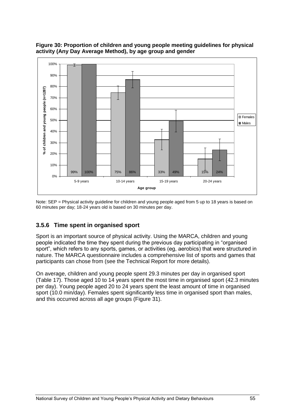

**Figure 30: Proportion of children and young people meeting guidelines for physical activity (Any Day Average Method), by age group and gender** 

Note: SEP = Physical activity guideline for children and young people aged from 5 up to 18 years is based on 60 minutes per day; 18-24 years old is based on 30 minutes per day.

### **3.5.6 Time spent in organised sport**

Sport is an important source of physical activity. Using the MARCA, children and young people indicated the time they spent during the previous day participating in "organised sport", which refers to any sports, games, or activities (eg, aerobics) that were structured in nature. The MARCA questionnaire includes a comprehensive list of sports and games that participants can chose from (see the Technical Report for more details).

On average, children and young people spent 29.3 minutes per day in organised sport (Table 17). Those aged 10 to 14 years spent the most time in organised sport (42.3 minutes per day). Young people aged 20 to 24 years spent the least amount of time in organised sport (10.0 min/day). Females spent significantly less time in organised sport than males, and this occurred across all age groups (Figure 31).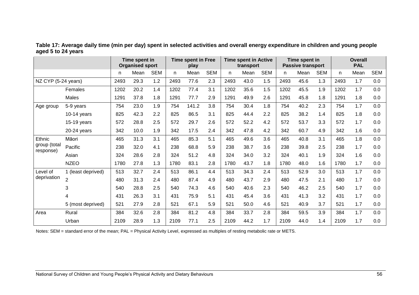|                           |                    |      | Time spent in<br><b>Organised sport</b> |            | <b>Time spent in Free</b><br>play |       | <b>Time spent in Active</b><br>transport |      |      | Time spent in<br><b>Passive transport</b> |      |      | <b>Overall</b><br><b>PAL</b> |      |      |            |
|---------------------------|--------------------|------|-----------------------------------------|------------|-----------------------------------|-------|------------------------------------------|------|------|-------------------------------------------|------|------|------------------------------|------|------|------------|
|                           |                    | n.   | Mean                                    | <b>SEM</b> | n                                 | Mean  | <b>SEM</b>                               | n.   | Mean | <b>SEM</b>                                | n.   | Mean | <b>SEM</b>                   | n.   | Mean | <b>SEM</b> |
| NZ CYP (5-24 years)       |                    | 2493 | 29.3                                    | 1.2        | 2493                              | 77.6  | 2.3                                      | 2493 | 43.0 | 1.5                                       | 2493 | 45.6 | 1.3                          | 2493 | 1.7  | 0.0        |
|                           | Females            | 1202 | 20.2                                    | 1.4        | 1202                              | 77.4  | 3.1                                      | 1202 | 35.6 | 1.5                                       | 1202 | 45.5 | 1.9                          | 1202 | 1.7  | 0.0        |
|                           | Males              | 1291 | 37.8                                    | 1.8        | 1291                              | 77.7  | 2.9                                      | 1291 | 49.9 | 2.6                                       | 1291 | 45.8 | 1.8                          | 1291 | 1.8  | 0.0        |
| Age group                 | 5-9 years          | 754  | 23.0                                    | 1.9        | 754                               | 141.2 | 3.8                                      | 754  | 30.4 | 1.8                                       | 754  | 40.2 | 2.3                          | 754  | 1.7  | 0.0        |
|                           | $10-14$ years      | 825  | 42.3                                    | 2.2        | 825                               | 86.5  | 3.1                                      | 825  | 44.4 | 2.2                                       | 825  | 38.2 | 1.4                          | 825  | 1.8  | 0.0        |
|                           | $15-19$ years      | 572  | 28.8                                    | 2.5        | 572                               | 29.7  | 2.6                                      | 572  | 52.2 | 4.2                                       | 572  | 53.7 | 3.3                          | 572  | 1.7  | 0.0        |
|                           | 20-24 years        | 342  | 10.0                                    | 1.9        | 342                               | 17.5  | 2.4                                      | 342  | 47.8 | 4.2                                       | 342  | 60.7 | 4.9                          | 342  | 1.6  | 0.0        |
| Ethnic                    | Māori              | 465  | 31.3                                    | 3.1        | 465                               | 85.3  | 5.1                                      | 465  | 49.6 | 3.6                                       | 465  | 40.8 | 3.1                          | 465  | 1.8  | 0.0        |
| group (total<br>response) | Pacific            | 238  | 32.0                                    | 4.1        | 238                               | 68.8  | 5.9                                      | 238  | 38.7 | 3.6                                       | 238  | 39.8 | 2.5                          | 238  | 1.7  | 0.0        |
|                           | Asian              | 324  | 28.6                                    | 2.8        | 324                               | 51.2  | 4.8                                      | 324  | 34.0 | 3.2                                       | 324  | 40.1 | 1.9                          | 324  | 1.6  | 0.0        |
|                           | <b>NZEO</b>        | 1780 | 27.8                                    | 1.3        | 1780                              | 83.1  | 2.8                                      | 1780 | 43.7 | 1.8                                       | 1780 | 48.0 | 1.6                          | 1780 | 1.7  | 0.0        |
| Level of                  | 1 (least deprived) | 513  | 32.7                                    | 2.4        | 513                               | 86.1  | 4.4                                      | 513  | 34.3 | 2.4                                       | 513  | 52.9 | 3.0                          | 513  | 1.7  | 0.0        |
| deprivation               | $\overline{2}$     | 480  | 31.3                                    | 2.4        | 480                               | 87.4  | 4.9                                      | 480  | 43.7 | 2.9                                       | 480  | 47.5 | 2.1                          | 480  | 1.7  | 0.0        |
|                           | 3                  | 540  | 28.8                                    | 2.5        | 540                               | 74.3  | 4.6                                      | 540  | 40.6 | 2.3                                       | 540  | 46.2 | 2.5                          | 540  | 1.7  | 0.0        |
|                           | 4                  | 431  | 26.3                                    | 3.1        | 431                               | 75.9  | 5.1                                      | 431  | 45.4 | 3.6                                       | 431  | 41.3 | 3.2                          | 431  | 1.7  | 0.0        |
|                           | 5 (most deprived)  | 521  | 27.9                                    | 2.8        | 521                               | 67.1  | 5.9                                      | 521  | 50.0 | 4.6                                       | 521  | 40.9 | 3.7                          | 521  | 1.7  | 0.0        |
| Area                      | Rural              | 384  | 32.6                                    | 2.8        | 384                               | 81.2  | 4.8                                      | 384  | 33.7 | 2.8                                       | 384  | 59.5 | 3.9                          | 384  | 1.7  | 0.0        |
|                           | Urban              | 2109 | 28.9                                    | 1.3        | 2109                              | 77.1  | 2.5                                      | 2109 | 44.2 | 1.7                                       | 2109 | 44.0 | 1.4                          | 2109 | 1.7  | 0.0        |

**Table 17: Average daily time (min per day) spent in selected activities and overall energy expenditure in children and young people aged 5 to 24 years** 

Notes: SEM = standard error of the mean; PAL = Physical Activity Level, expressed as multiples of resting metabolic rate or METS.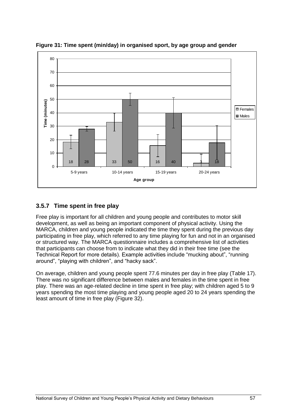

**Figure 31: Time spent (min/day) in organised sport, by age group and gender**

# **3.5.7 Time spent in free play**

Free play is important for all children and young people and contributes to motor skill development, as well as being an important component of physical activity. Using the MARCA, children and young people indicated the time they spent during the previous day participating in free play, which referred to any time playing for fun and not in an organised or structured way. The MARCA questionnaire includes a comprehensive list of activities that participants can choose from to indicate what they did in their free time (see the Technical Report for more details). Example activities include "mucking about", "running around", "playing with children", and "hacky sack".

On average, children and young people spent 77.6 minutes per day in free play (Table 17). There was no significant difference between males and females in the time spent in free play. There was an age-related decline in time spent in free play; with children aged 5 to 9 years spending the most time playing and young people aged 20 to 24 years spending the least amount of time in free play (Figure 32).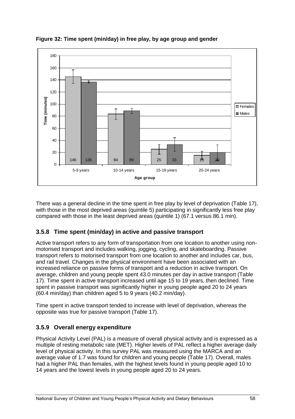

**Figure 32: Time spent (min/day) in free play, by age group and gender**

There was a general decline in the time spent in free play by level of deprivation (Table 17), with those in the most deprived areas (quintile 5) participating in significantly less free play compared with those in the least deprived areas (quintile 1) (67.1 versus 86.1 min).

### **3.5.8 Time spent (min/day) in active and passive transport**

Active transport refers to any form of transportation from one location to another using nonmotorised transport and includes walking, jogging, cycling, and skateboarding. Passive transport refers to motorised transport from one location to another and includes car, bus, and rail travel. Changes in the physical environment have been associated with an increased reliance on passive forms of transport and a reduction in active transport. On average, children and young people spent 43.0 minutes per day in active transport (Table 17). Time spent in active transport increased until age 15 to 19 years, then declined. Time spent in passive transport was significantly higher in young people aged 20 to 24 years (60.4 min/day) than children aged 5 to 9 years (40.2 min/day).

Time spent in active transport tended to increase with level of deprivation, whereas the opposite was true for passive transport (Table 17).

### **3.5.9 Overall energy expenditure**

Physical Activity Level (PAL) is a measure of overall physical activity and is expressed as a multiple of resting metabolic rate (MET). Higher levels of PAL reflect a higher average daily level of physical activity. In this survey PAL was measured using the MARCA and an average value of 1.7 was found for children and young people (Table 17). Overall, males had a higher PAL than females, with the highest levels found in young people aged 10 to 14 years and the lowest levels in young people aged 20 to 24 years.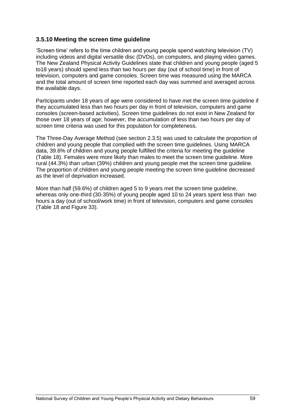#### **3.5.10 Meeting the screen time guideline**

‗Screen time' refers to the time children and young people spend watching television (TV) including videos and digital versatile disc (DVDs), on computers, and playing video games. The New Zealand Physical Activity Guidelines state that children and young people (aged 5 to18 years) should spend less than two hours per day (out of school time) in front of television, computers and game consoles. Screen time was measured using the MARCA and the total amount of screen time reported each day was summed and averaged across the available days.

Participants under 18 years of age were considered to have met the screen time guideline if they accumulated less than two hours per day in front of television, computers and game consoles (screen-based activities). Screen time guidelines do not exist in New Zealand for those over 18 years of age; however, the accumulation of less than two hours per day of screen time criteria was used for this population for completeness.

The Three-Day Average Method (see section 2.3.5) was used to calculate the proportion of children and young people that complied with the screen time guidelines. Using MARCA data, 39.6% of children and young people fulfilled the criteria for meeting the guideline (Table 18). Females were more likely than males to meet the screen time guideline. More rural (44.3%) than urban (39%) children and young people met the screen time guideline. The proportion of children and young people meeting the screen time guideline decreased as the level of deprivation increased.

More than half (59.6%) of children aged 5 to 9 years met the screen time guideline, whereas only one-third (30-35%) of young people aged 10 to 24 years spent less than two hours a day (out of school/work time) in front of television, computers and game consoles (Table 18 and Figure 33).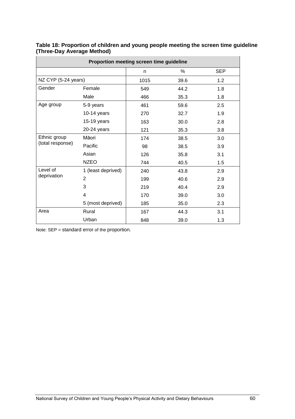| Proportion meeting screen time guideline |                    |      |      |            |  |  |  |  |  |  |  |
|------------------------------------------|--------------------|------|------|------------|--|--|--|--|--|--|--|
|                                          |                    | n    | %    | <b>SEP</b> |  |  |  |  |  |  |  |
| NZ CYP (5-24 years)                      |                    | 1015 | 39.6 | 1.2        |  |  |  |  |  |  |  |
| Gender                                   | Female             | 549  | 44.2 | 1.8        |  |  |  |  |  |  |  |
|                                          | Male               | 466  | 35.3 | 1.8        |  |  |  |  |  |  |  |
| Age group                                | 5-9 years          | 461  | 59.6 | 2.5        |  |  |  |  |  |  |  |
|                                          | $10-14$ years      | 270  | 32.7 | 1.9        |  |  |  |  |  |  |  |
|                                          | 15-19 years        | 163  | 30.0 | 2.8        |  |  |  |  |  |  |  |
|                                          | 20-24 years        | 121  | 35.3 | 3.8        |  |  |  |  |  |  |  |
| Ethnic group                             | Māori              | 174  | 38.5 | 3.0        |  |  |  |  |  |  |  |
| (total response)                         | Pacific            | 98   | 38.5 | 3.9        |  |  |  |  |  |  |  |
|                                          | Asian              | 126  | 35.8 | 3.1        |  |  |  |  |  |  |  |
|                                          | <b>NZEO</b>        | 744  | 40.5 | 1.5        |  |  |  |  |  |  |  |
| Level of                                 | 1 (least deprived) | 240  | 43.8 | 2.9        |  |  |  |  |  |  |  |
| deprivation                              | $\overline{2}$     | 199  | 40.6 | 2.9        |  |  |  |  |  |  |  |
|                                          | 3                  | 219  | 40.4 | 2.9        |  |  |  |  |  |  |  |
|                                          | 4                  | 170  | 39.0 | 3.0        |  |  |  |  |  |  |  |
|                                          | 5 (most deprived)  | 185  | 35.0 | 2.3        |  |  |  |  |  |  |  |
| Area                                     | Rural              | 167  | 44.3 | 3.1        |  |  |  |  |  |  |  |
|                                          | Urban              | 848  | 39.0 | 1.3        |  |  |  |  |  |  |  |

**Table 18: Proportion of children and young people meeting the screen time guideline (Three-Day Average Method)**

Note: SEP = standard error of the proportion.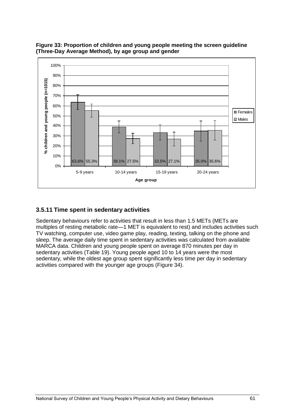

**Figure 33: Proportion of children and young people meeting the screen guideline (Three-Day Average Method), by age group and gender** 

#### **3.5.11 Time spent in sedentary activities**

Sedentary behaviours refer to activities that result in less than 1.5 METs (METs are multiples of resting metabolic rate—1 MET is equivalent to rest) and includes activities such TV watching, computer use, video game play, reading, texting, talking on the phone and sleep. The average daily time spent in sedentary activities was calculated from available MARCA data. Children and young people spent on average 870 minutes per day in sedentary activities (Table 19). Young people aged 10 to 14 years were the most sedentary, while the oldest age group spent significantly less time per day in sedentary activities compared with the younger age groups (Figure 34).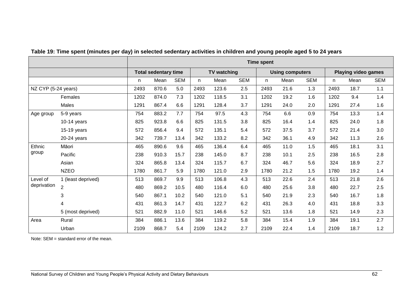|                         |                    | <b>Time spent</b>           |       |            |                    |       |            |                        |      |            |                            |      |            |
|-------------------------|--------------------|-----------------------------|-------|------------|--------------------|-------|------------|------------------------|------|------------|----------------------------|------|------------|
|                         |                    | <b>Total sedentary time</b> |       |            | <b>TV watching</b> |       |            | <b>Using computers</b> |      |            | <b>Playing video games</b> |      |            |
|                         |                    | n                           | Mean  | <b>SEM</b> | n.                 | Mean  | <b>SEM</b> | n.                     | Mean | <b>SEM</b> | n.                         | Mean | <b>SEM</b> |
| NZ CYP (5-24 years)     |                    | 2493                        | 870.6 | 5.0        | 2493               | 123.6 | 2.5        | 2493                   | 21.6 | 1.3        | 2493                       | 18.7 | 1.1        |
|                         | Females            | 1202                        | 874.0 | 7.3        | 1202               | 118.5 | 3.1        | 1202                   | 19.2 | 1.6        | 1202                       | 9.4  | 1.4        |
|                         | Males              | 1291                        | 867.4 | 6.6        | 1291               | 128.4 | 3.7        | 1291                   | 24.0 | 2.0        | 1291                       | 27.4 | 1.6        |
| Age group               | 5-9 years          | 754                         | 883.2 | 7.7        | 754                | 97.5  | 4.3        | 754                    | 6.6  | 0.9        | 754                        | 13.3 | 1.4        |
|                         | $10-14$ years      | 825                         | 923.8 | 6.6        | 825                | 131.5 | 3.8        | 825                    | 16.4 | 1.4        | 825                        | 24.0 | 1.8        |
|                         | 15-19 years        | 572                         | 856.4 | 9.4        | 572                | 135.1 | 5.4        | 572                    | 37.5 | 3.7        | 572                        | 21.4 | 3.0        |
|                         | 20-24 years        | 342                         | 739.7 | 13.4       | 342                | 133.2 | 8.2        | 342                    | 36.1 | 4.9        | 342                        | 11.3 | 2.6        |
| Ethnic<br>group         | Māori              | 465                         | 890.6 | 9.6        | 465                | 136.4 | 6.4        | 465                    | 11.0 | 1.5        | 465                        | 18.1 | 3.1        |
|                         | Pacific            | 238                         | 910.3 | 15.7       | 238                | 145.0 | 8.7        | 238                    | 10.1 | 2.5        | 238                        | 16.5 | 2.8        |
|                         | Asian              | 324                         | 865.8 | 13.4       | 324                | 115.7 | 6.7        | 324                    | 46.7 | 5.6        | 324                        | 18.9 | 2.7        |
|                         | <b>NZEO</b>        | 1780                        | 861.7 | 5.9        | 1780               | 121.0 | 2.9        | 1780                   | 21.2 | 1.5        | 1780                       | 19.2 | 1.4        |
| Level of<br>deprivation | 1 (least deprived) | 513                         | 869.7 | 9.9        | 513                | 106.8 | 4.3        | 513                    | 22.6 | 2.4        | 513                        | 21.8 | 2.6        |
|                         | $\overline{2}$     | 480                         | 869.2 | 10.5       | 480                | 116.4 | 6.0        | 480                    | 25.6 | 3.8        | 480                        | 22.7 | 2.5        |
|                         | 3                  | 540                         | 867.1 | 10.2       | 540                | 121.0 | 5.1        | 540                    | 21.9 | 2.3        | 540                        | 16.7 | 1.8        |
|                         | 4                  | 431                         | 861.3 | 14.7       | 431                | 122.7 | 6.2        | 431                    | 26.3 | 4.0        | 431                        | 18.8 | 3.3        |
|                         | 5 (most deprived)  | 521                         | 882.9 | 11.0       | 521                | 146.6 | 5.2        | 521                    | 13.6 | 1.8        | 521                        | 14.9 | 2.3        |
| Area                    | Rural              | 384                         | 886.1 | 13.6       | 384                | 119.2 | 5.8        | 384                    | 15.4 | 1.9        | 384                        | 19.1 | 2.7        |
|                         | Urban              | 2109                        | 868.7 | 5.4        | 2109               | 124.2 | 2.7        | 2109                   | 22.4 | 1.4        | 2109                       | 18.7 | 1.2        |

### **Table 19: Time spent (minutes per day) in selected sedentary activities in children and young people aged 5 to 24 years**

Note: SEM = standard error of the mean.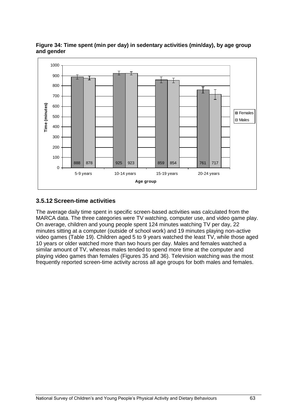

**Figure 34: Time spent (min per day) in sedentary activities (min/day), by age group and gender**

#### **3.5.12 Screen-time activities**

The average daily time spent in specific screen-based activities was calculated from the MARCA data. The three categories were TV watching, computer use, and video game play. On average, children and young people spent 124 minutes watching TV per day, 22 minutes sitting at a computer (outside of school work) and 19 minutes playing non-active video games (Table 19). Children aged 5 to 9 years watched the least TV, while those aged 10 years or older watched more than two hours per day. Males and females watched a similar amount of TV, whereas males tended to spend more time at the computer and playing video games than females (Figures 35 and 36). Television watching was the most frequently reported screen-time activity across all age groups for both males and females.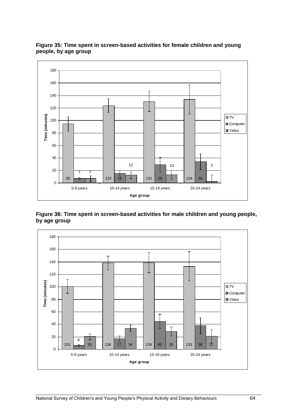

**Figure 35: Time spent in screen-based activities for female children and young people, by age group**

**Figure 36: Time spent in screen-based activities for male children and young people, by age group**

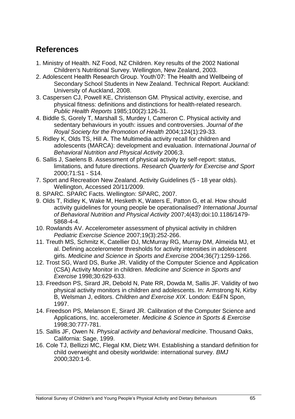## **References**

- 1. Ministry of Health. NZ Food, NZ Children. Key results of the 2002 National Children's Nutritional Survey. Wellington, New Zealand, 2003.
- 2. Adolescent Health Research Group. Youth'07: The Health and Wellbeing of Secondary School Students in New Zealand. Technical Report. Auckland: University of Auckland, 2008.
- 3. Caspersen CJ, Powell KE, Christenson GM. Physical activity, exercise, and physical fitness: definitions and distinctions for health-related research. *Public Health Reports* 1985;100(2):126-31.
- 4. Biddle S, Gorely T, Marshall S, Murdey I, Cameron C. Physical activity and sedentary behaviours in youth: issues and controversies. *Journal of the Royal Society for the Promotion of Health* 2004;124(1):29-33.
- 5. Ridley K, Olds TS, Hill A. The Multimedia activity recall for children and adolescents (MARCA): development and evaluation. *International Journal of Behavioral Nutrition and Physical Activity* 2006;3.
- 6. Sallis J, Saelens B. Assessment of physical activity by self-report: status, limitations, and future directions. *Research Quarterly for Exercise and Sport* 2000;71:S1 - S14.
- 7. Sport and Recreation New Zealand. Activity Guidelines (5 18 year olds). Wellington, Accessed 20/11/2009.
- 8. SPARC. SPARC Facts. Wellington: SPARC, 2007.
- 9. Olds T, Ridley K, Wake M, Hesketh K, Waters E, Patton G, et al. How should activity guidelines for young people be operationalised? *International Journal of Behavioral Nutrition and Physical Activity* 2007;4(43):doi:10.1186/1479- 5868-4-4.
- 10. Rowlands AV. Accelerometer assessment of physical activity in children *Pediatric Exercise Science* 2007;19(3):252-266.
- 11. Treuth MS, Schmitz K, Catellier DJ, McMurray RG, Murray DM, Almeida MJ, et al. Defining accelerometer thresholds for activity intensities in adolescent girls. *Medicine and Science in Sports and Exercise* 2004;36(7):1259-1266.
- 12. Trost SG, Ward DS, Burke JR. Validity of the Computer Science and Application (CSA) Activity Monitor in children. *Medicine and Science in Sports and Exercise* 1998;30:629-633.
- 13. Freedson PS, Sirard JR, Debold N, Pate RR, Dowda M, Sallis JF. Validity of two physical activity monitors in children and adolescents. In: Armstrong N, Kirby B, Welsman J, editors. *Children and Exercise XIX*. London: E&FN Spon, 1997.
- 14. Freedson PS, Melanson E, Sirard JR. Calibration of the Computer Science and Applications, Inc. accelerometer. *Medicine & Science in Sports & Exercise* 1998;30:777-781.
- 15. Sallis JF, Owen N. *Physical activity and behavioral medicine*. Thousand Oaks, California: Sage, 1999.
- 16. Cole TJ, Bellizzi MC, Flegal KM, Dietz WH. Establishing a standard definition for child overweight and obesity worldwide: international survey. *BMJ* 2000;320:1-6.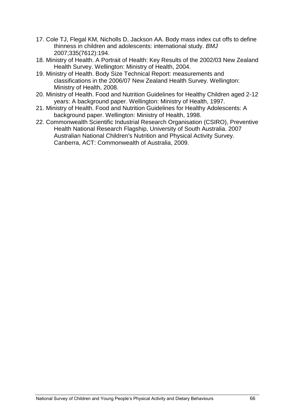- 17. Cole TJ, Flegal KM, Nicholls D, Jackson AA. Body mass index cut offs to define thinness in children and adolescents: international study. *BMJ* 2007;335(7612):194.
- 18. Ministry of Health. A Portrait of Health: Key Results of the 2002/03 New Zealand Health Survey. Wellington: Ministry of Health, 2004.
- 19. Ministry of Health. Body Size Technical Report: measurements and classifications in the 2006/07 New Zealand Health Survey. Wellington: Ministry of Health, 2008.
- 20. Ministry of Health. Food and Nutrition Guidelines for Healthy Children aged 2-12 years: A background paper. Wellington: Ministry of Health, 1997.
- 21. Ministry of Health. Food and Nutrition Guidelines for Healthy Adolescents: A background paper. Wellington: Ministry of Health, 1998.
- 22. Commonwealth Scientific Industrial Research Organisation (CSIRO), Preventive Health National Research Flagship, University of South Australia. 2007 Australian National Children's Nutrition and Physical Activity Survey. Canberra, ACT: Commonwealth of Australia, 2009.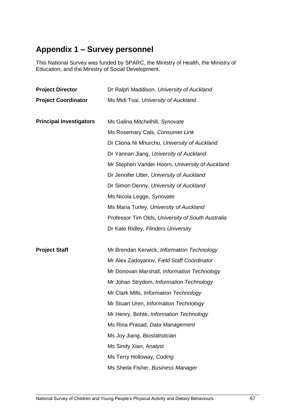# **Appendix 1 – Survey personnel**

This National Survey was funded by SPARC, the Ministry of Health, the Ministry of Education, and the Ministry of Social Development.

| <b>Project Director</b>        | Dr Ralph Maddison, University of Auckland         |  |  |  |  |
|--------------------------------|---------------------------------------------------|--|--|--|--|
| <b>Project Coordinator</b>     | Ms Midi Tsai, University of Auckland              |  |  |  |  |
|                                |                                                   |  |  |  |  |
| <b>Principal Investigators</b> | Ms Galina Mitchelhill, Synovate                   |  |  |  |  |
|                                | Ms Rosemary Cals, Consumer Link                   |  |  |  |  |
|                                | Dr Cliona Ni Mhurchu, University of Auckland      |  |  |  |  |
|                                | Dr Yannan Jiang, University of Auckland           |  |  |  |  |
|                                | Mr Stephen Vander Hoorn, University of Auckland   |  |  |  |  |
|                                | Dr Jennifer Utter, University of Auckland         |  |  |  |  |
|                                | Dr Simon Denny, University of Auckland            |  |  |  |  |
|                                | Ms Nicola Legge, Synovate                         |  |  |  |  |
|                                | Ms Maria Turley, University of Auckland           |  |  |  |  |
|                                | Professor Tim Olds, University of South Australia |  |  |  |  |
|                                | Dr Kate Ridley, Flinders University               |  |  |  |  |
|                                |                                                   |  |  |  |  |
| <b>Project Staff</b>           | Mr Brendan Kerwick, Information Technology        |  |  |  |  |
|                                | Mr Alex Zadoyanov, Field Staff Coordinator        |  |  |  |  |
|                                | Mr Donovan Marshall, Information Technology       |  |  |  |  |
|                                | Mr Johan Strydom, Information Technology          |  |  |  |  |
|                                | Mr Clark Mills, Information Technology            |  |  |  |  |
|                                | Mr Stuart Uren, Information Technology            |  |  |  |  |
|                                | Mr Henry, Bohte, Information Technology           |  |  |  |  |
|                                | Ms Rina Prasad, Data Management                   |  |  |  |  |
|                                | Ms Joy Jiang, Biostatistician                     |  |  |  |  |
|                                | Ms Sindy Xian, Analyst                            |  |  |  |  |
|                                | Ms Terry Holloway, Coding                         |  |  |  |  |
|                                | Ms Sheila Fisher, Business Manager                |  |  |  |  |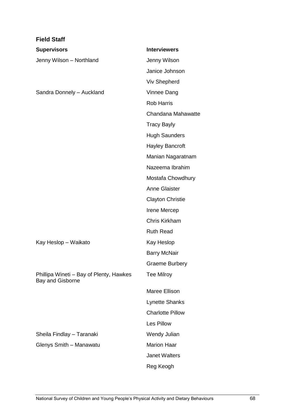| <b>Field Staff</b>                                          |                         |
|-------------------------------------------------------------|-------------------------|
| <b>Supervisors</b>                                          | <b>Interviewers</b>     |
| Jenny Wilson - Northland                                    | Jenny Wilson            |
|                                                             | Janice Johnson          |
|                                                             | <b>Viv Shepherd</b>     |
| Sandra Donnely - Auckland                                   | Vinnee Dang             |
|                                                             | <b>Rob Harris</b>       |
|                                                             | Chandana Mahawatte      |
|                                                             | <b>Tracy Bayly</b>      |
|                                                             | <b>Hugh Saunders</b>    |
|                                                             | <b>Hayley Bancroft</b>  |
|                                                             | Manian Nagaratnam       |
|                                                             | Nazeema Ibrahim         |
|                                                             | Mostafa Chowdhury       |
|                                                             | <b>Anne Glaister</b>    |
|                                                             | <b>Clayton Christie</b> |
|                                                             | Irene Mercep            |
|                                                             | Chris Kirkham           |
|                                                             | <b>Ruth Read</b>        |
| Kay Heslop - Waikato                                        | Kay Heslop              |
|                                                             | <b>Barry McNair</b>     |
|                                                             | <b>Graeme Burbery</b>   |
| Phillipa Wineti - Bay of Plenty, Hawkes<br>Bay and Gisborne | <b>Tee Milroy</b>       |
|                                                             | Maree Ellison           |
|                                                             | <b>Lynette Shanks</b>   |
|                                                             | <b>Charlotte Pillow</b> |
|                                                             | Les Pillow              |
| Sheila Findlay - Taranaki                                   | Wendy Julian            |
| Glenys Smith - Manawatu                                     | <b>Marion Haar</b>      |
|                                                             | <b>Janet Walters</b>    |
|                                                             | Reg Keogh               |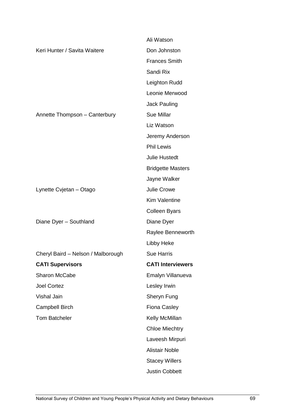|                                    | Ali Watson               |
|------------------------------------|--------------------------|
| Keri Hunter / Savita Waitere       | Don Johnston             |
|                                    | <b>Frances Smith</b>     |
|                                    | Sandi Rix                |
|                                    | Leighton Rudd            |
|                                    | Leonie Merwood           |
|                                    | <b>Jack Pauling</b>      |
| Annette Thompson - Canterbury      | <b>Sue Millar</b>        |
|                                    | Liz Watson               |
|                                    | Jeremy Anderson          |
|                                    | <b>Phil Lewis</b>        |
|                                    | <b>Julie Hustedt</b>     |
|                                    | <b>Bridgette Masters</b> |
|                                    | Jayne Walker             |
| Lynette Cvjetan - Otago            | Julie Crowe              |
|                                    | <b>Kim Valentine</b>     |
|                                    | <b>Colleen Byars</b>     |
| Diane Dyer - Southland             | Diane Dyer               |
|                                    | Raylee Benneworth        |
|                                    | Libby Heke               |
| Cheryl Baird - Nelson / Malborough | <b>Sue Harris</b>        |
| <b>CATI Supervisors</b>            | <b>CATI Interviewers</b> |
| Sharon McCabe                      | Emalyn Villanueva        |
| <b>Joel Cortez</b>                 | Lesley Irwin             |
| Vishal Jain                        | Sheryn Fung              |
| <b>Campbell Birch</b>              | <b>Fiona Casley</b>      |
| <b>Tom Batcheler</b>               | Kelly McMillan           |
|                                    | <b>Chloe Miechtry</b>    |
|                                    | Laveesh Mirpuri          |
|                                    | <b>Alistair Noble</b>    |
|                                    | <b>Stacey Willers</b>    |
|                                    | <b>Justin Cobbett</b>    |